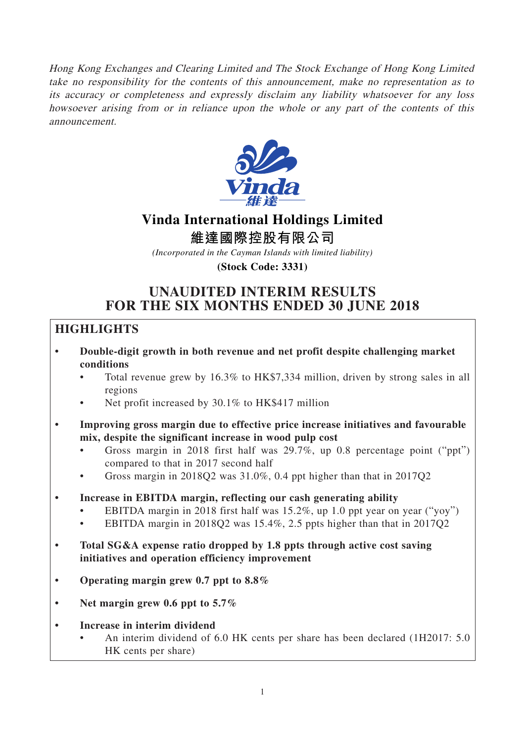Hong Kong Exchanges and Clearing Limited and The Stock Exchange of Hong Kong Limited take no responsibility for the contents of this announcement, make no representation as to its accuracy or completeness and expressly disclaim any liability whatsoever for any loss howsoever arising from or in reliance upon the whole or any part of the contents of this announcement.



## **Vinda International Holdings Limited**

**維達國際控股有限公司**

*(Incorporated in the Cayman Islands with limited liability)*

**(Stock Code: 3331)**

## **UNAUDITED INTERIM RESULTS FOR THE SIX MONTHS ENDED 30 JUNE 2018**

## **HIGHLIGHTS**

- **Double-digit growth in both revenue and net profit despite challenging market conditions**
	- Total revenue grew by 16.3% to HK\$7,334 million, driven by strong sales in all regions
	- Net profit increased by 30.1% to HK\$417 million
- **Improving gross margin due to effective price increase initiatives and favourable mix, despite the significant increase in wood pulp cost**
	- Gross margin in 2018 first half was 29.7%, up 0.8 percentage point ("ppt") compared to that in 2017 second half
	- Gross margin in 2018Q2 was 31.0%, 0.4 ppt higher than that in 2017Q2
- **Increase in EBITDA margin, reflecting our cash generating ability**
	- EBITDA margin in 2018 first half was 15.2%, up 1.0 ppt year on year ("yoy")
	- EBITDA margin in 2018Q2 was 15.4%, 2.5 ppts higher than that in 2017Q2
- **Total SG&A expense ratio dropped by 1.8 ppts through active cost saving initiatives and operation efficiency improvement**
- **Operating margin grew 0.7 ppt to 8.8%**
- **Net margin grew 0.6 ppt to 5.7%**
- **Increase in interim dividend**
	- An interim dividend of 6.0 HK cents per share has been declared (1H2017: 5.0 HK cents per share)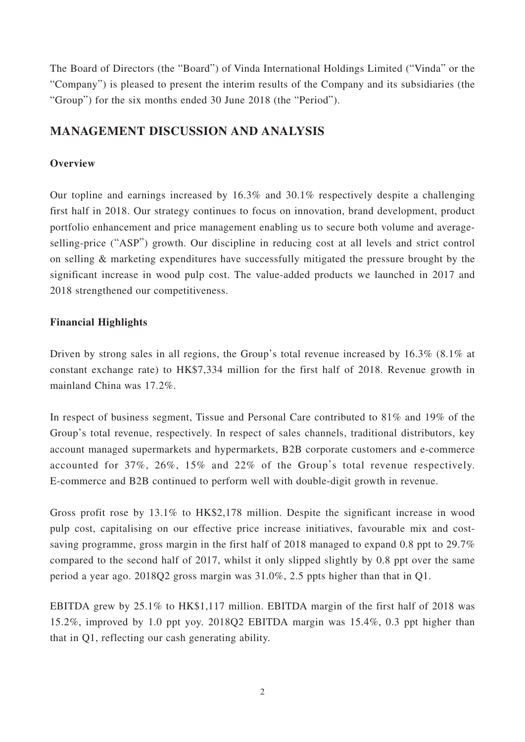The Board of Directors (the "Board") of Vinda International Holdings Limited ("Vinda" or the "Company") is pleased to present the interim results of the Company and its subsidiaries (the "Group") for the six months ended 30 June 2018 (the "Period").

## **MANAGEMENT DISCUSSION AND ANALYSIS**

### **Overview**

Our topline and earnings increased by 16.3% and 30.1% respectively despite a challenging first half in 2018. Our strategy continues to focus on innovation, brand development, product portfolio enhancement and price management enabling us to secure both volume and averageselling-price ("ASP") growth. Our discipline in reducing cost at all levels and strict control on selling & marketing expenditures have successfully mitigated the pressure brought by the significant increase in wood pulp cost. The value-added products we launched in 2017 and 2018 strengthened our competitiveness.

## **Financial Highlights**

Driven by strong sales in all regions, the Group's total revenue increased by 16.3% (8.1% at constant exchange rate) to HK\$7,334 million for the first half of 2018. Revenue growth in mainland China was 17.2%.

In respect of business segment, Tissue and Personal Care contributed to 81% and 19% of the Group's total revenue, respectively. In respect of sales channels, traditional distributors, key account managed supermarkets and hypermarkets, B2B corporate customers and e-commerce accounted for 37%, 26%, 15% and 22% of the Group's total revenue respectively. E-commerce and B2B continued to perform well with double-digit growth in revenue.

Gross profit rose by 13.1% to HK\$2,178 million. Despite the significant increase in wood pulp cost, capitalising on our effective price increase initiatives, favourable mix and costsaving programme, gross margin in the first half of 2018 managed to expand 0.8 ppt to 29.7% compared to the second half of 2017, whilst it only slipped slightly by 0.8 ppt over the same period a year ago. 2018Q2 gross margin was 31.0%, 2.5 ppts higher than that in Q1.

EBITDA grew by 25.1% to HK\$1,117 million. EBITDA margin of the first half of 2018 was 15.2%, improved by 1.0 ppt yoy. 2018Q2 EBITDA margin was 15.4%, 0.3 ppt higher than that in Q1, reflecting our cash generating ability.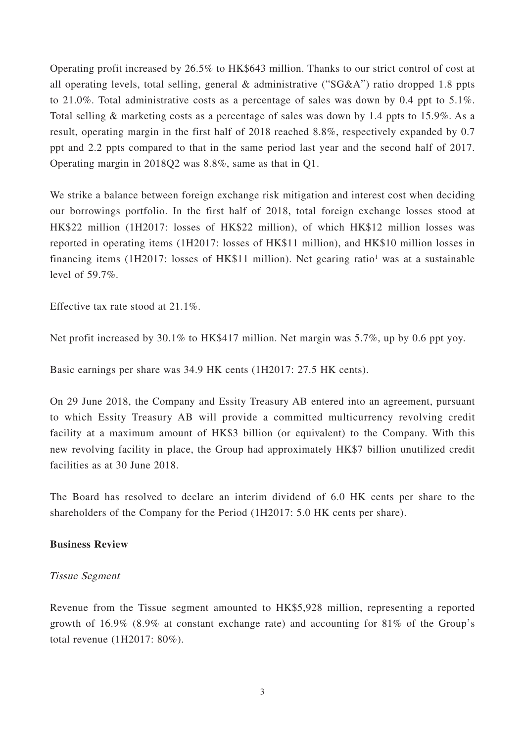Operating profit increased by 26.5% to HK\$643 million. Thanks to our strict control of cost at all operating levels, total selling, general & administrative ("SG&A") ratio dropped 1.8 ppts to 21.0%. Total administrative costs as a percentage of sales was down by 0.4 ppt to 5.1%. Total selling & marketing costs as a percentage of sales was down by 1.4 ppts to 15.9%. As a result, operating margin in the first half of 2018 reached 8.8%, respectively expanded by 0.7 ppt and 2.2 ppts compared to that in the same period last year and the second half of 2017. Operating margin in 2018Q2 was 8.8%, same as that in Q1.

We strike a balance between foreign exchange risk mitigation and interest cost when deciding our borrowings portfolio. In the first half of 2018, total foreign exchange losses stood at HK\$22 million (1H2017: losses of HK\$22 million), of which HK\$12 million losses was reported in operating items (1H2017: losses of HK\$11 million), and HK\$10 million losses in financing items (1H2017: losses of HK\$11 million). Net gearing ratio<sup>1</sup> was at a sustainable level of 59.7%.

Effective tax rate stood at 21.1%.

Net profit increased by 30.1% to HK\$417 million. Net margin was 5.7%, up by 0.6 ppt yoy.

Basic earnings per share was 34.9 HK cents (1H2017: 27.5 HK cents).

On 29 June 2018, the Company and Essity Treasury AB entered into an agreement, pursuant to which Essity Treasury AB will provide a committed multicurrency revolving credit facility at a maximum amount of HK\$3 billion (or equivalent) to the Company. With this new revolving facility in place, the Group had approximately HK\$7 billion unutilized credit facilities as at 30 June 2018.

The Board has resolved to declare an interim dividend of 6.0 HK cents per share to the shareholders of the Company for the Period (1H2017: 5.0 HK cents per share).

### **Business Review**

### Tissue Segment

Revenue from the Tissue segment amounted to HK\$5,928 million, representing a reported growth of 16.9% (8.9% at constant exchange rate) and accounting for 81% of the Group's total revenue (1H2017: 80%).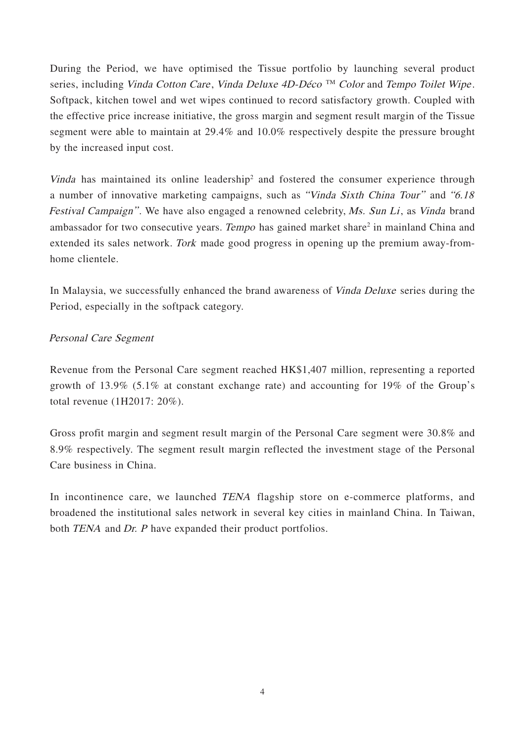During the Period, we have optimised the Tissue portfolio by launching several product series, including Vinda Cotton Care, Vinda Deluxe 4D-Déco<sup>TM</sup> Color and Tempo Toilet Wipe. Softpack, kitchen towel and wet wipes continued to record satisfactory growth. Coupled with the effective price increase initiative, the gross margin and segment result margin of the Tissue segment were able to maintain at 29.4% and 10.0% respectively despite the pressure brought by the increased input cost.

Vinda has maintained its online leadership<sup>2</sup> and fostered the consumer experience through a number of innovative marketing campaigns, such as "Vinda Sixth China Tour" and "6.18 Festival Campaign". We have also engaged a renowned celebrity, Ms. Sun Li, as Vinda brand ambassador for two consecutive years. Tempo has gained market share<sup>2</sup> in mainland China and extended its sales network. Tork made good progress in opening up the premium away-fromhome clientele.

In Malaysia, we successfully enhanced the brand awareness of Vinda Deluxe series during the Period, especially in the softpack category.

## Personal Care Segment

Revenue from the Personal Care segment reached HK\$1,407 million, representing a reported growth of 13.9% (5.1% at constant exchange rate) and accounting for 19% of the Group's total revenue (1H2017: 20%).

Gross profit margin and segment result margin of the Personal Care segment were 30.8% and 8.9% respectively. The segment result margin reflected the investment stage of the Personal Care business in China.

In incontinence care, we launched TENA flagship store on e-commerce platforms, and broadened the institutional sales network in several key cities in mainland China. In Taiwan, both TENA and Dr. P have expanded their product portfolios.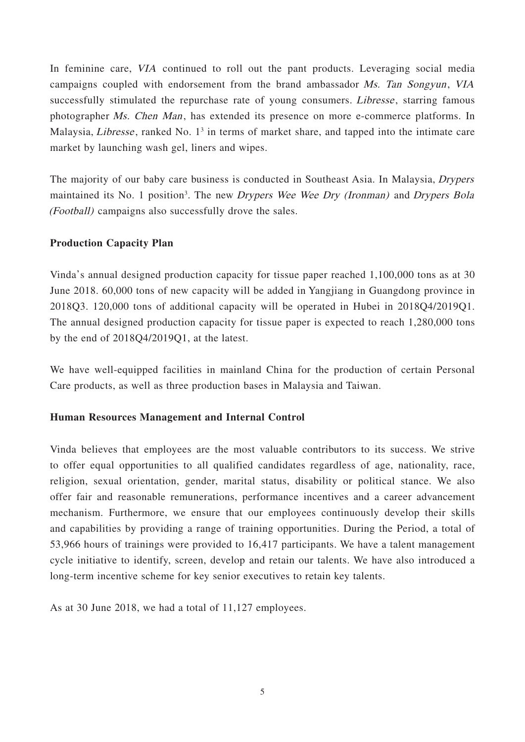In feminine care, VIA continued to roll out the pant products. Leveraging social media campaigns coupled with endorsement from the brand ambassador Ms. Tan Songyun, VIA successfully stimulated the repurchase rate of young consumers. *Libresse*, starring famous photographer *Ms. Chen Man*, has extended its presence on more e-commerce platforms. In Malaysia, *Libresse*, ranked No. 1<sup>3</sup> in terms of market share, and tapped into the intimate care market by launching wash gel, liners and wipes.

The majority of our baby care business is conducted in Southeast Asia. In Malaysia, *Drypers* maintained its No. 1 position<sup>3</sup>. The new *Drypers Wee Wee Dry (Ironman)* and *Drypers Bola* (Football) campaigns also successfully drove the sales.

### **Production Capacity Plan**

Vinda's annual designed production capacity for tissue paper reached 1,100,000 tons as at 30 June 2018. 60,000 tons of new capacity will be added in Yangjiang in Guangdong province in 2018Q3. 120,000 tons of additional capacity will be operated in Hubei in 2018Q4/2019Q1. The annual designed production capacity for tissue paper is expected to reach 1,280,000 tons by the end of 2018Q4/2019Q1, at the latest.

We have well-equipped facilities in mainland China for the production of certain Personal Care products, as well as three production bases in Malaysia and Taiwan.

### **Human Resources Management and Internal Control**

Vinda believes that employees are the most valuable contributors to its success. We strive to offer equal opportunities to all qualified candidates regardless of age, nationality, race, religion, sexual orientation, gender, marital status, disability or political stance. We also offer fair and reasonable remunerations, performance incentives and a career advancement mechanism. Furthermore, we ensure that our employees continuously develop their skills and capabilities by providing a range of training opportunities. During the Period, a total of 53,966 hours of trainings were provided to 16,417 participants. We have a talent management cycle initiative to identify, screen, develop and retain our talents. We have also introduced a long-term incentive scheme for key senior executives to retain key talents.

As at 30 June 2018, we had a total of 11,127 employees.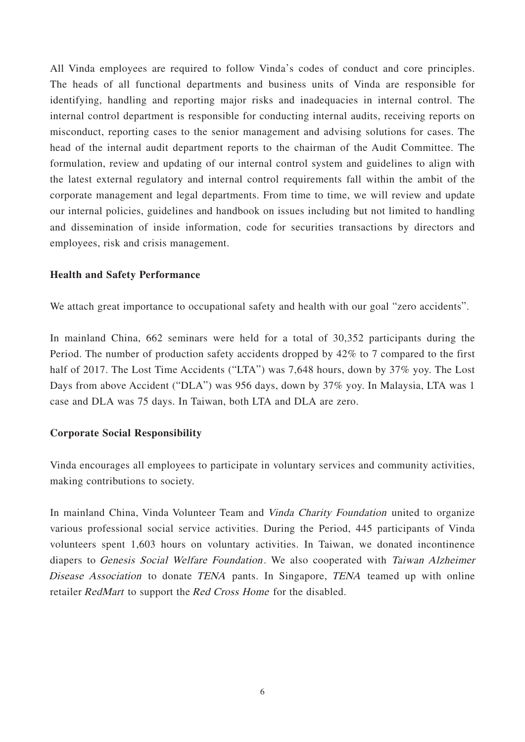All Vinda employees are required to follow Vinda's codes of conduct and core principles. The heads of all functional departments and business units of Vinda are responsible for identifying, handling and reporting major risks and inadequacies in internal control. The internal control department is responsible for conducting internal audits, receiving reports on misconduct, reporting cases to the senior management and advising solutions for cases. The head of the internal audit department reports to the chairman of the Audit Committee. The formulation, review and updating of our internal control system and guidelines to align with the latest external regulatory and internal control requirements fall within the ambit of the corporate management and legal departments. From time to time, we will review and update our internal policies, guidelines and handbook on issues including but not limited to handling and dissemination of inside information, code for securities transactions by directors and employees, risk and crisis management.

### **Health and Safety Performance**

We attach great importance to occupational safety and health with our goal "zero accidents".

In mainland China, 662 seminars were held for a total of 30,352 participants during the Period. The number of production safety accidents dropped by 42% to 7 compared to the first half of 2017. The Lost Time Accidents ("LTA") was 7,648 hours, down by 37% yoy. The Lost Days from above Accident ("DLA") was 956 days, down by 37% yoy. In Malaysia, LTA was 1 case and DLA was 75 days. In Taiwan, both LTA and DLA are zero.

### **Corporate Social Responsibility**

Vinda encourages all employees to participate in voluntary services and community activities, making contributions to society.

In mainland China, Vinda Volunteer Team and Vinda Charity Foundation united to organize various professional social service activities. During the Period, 445 participants of Vinda volunteers spent 1,603 hours on voluntary activities. In Taiwan, we donated incontinence diapers to Genesis Social Welfare Foundation. We also cooperated with Taiwan Alzheimer Disease Association to donate TENA pants. In Singapore, TENA teamed up with online retailer RedMart to support the Red Cross Home for the disabled.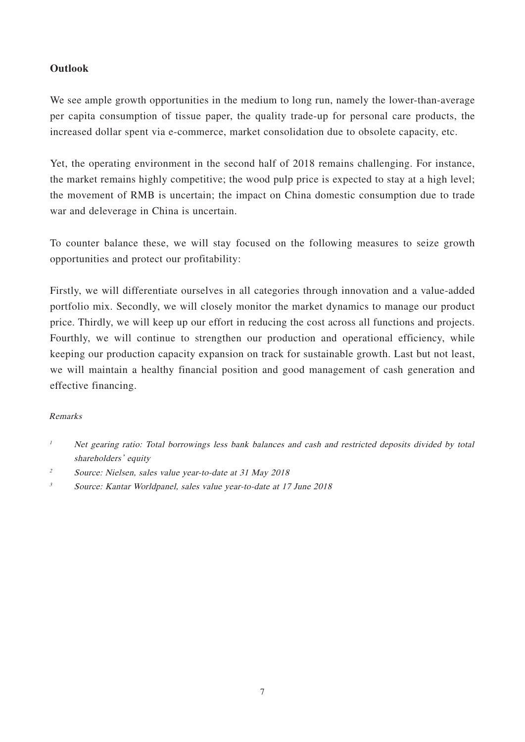## **Outlook**

We see ample growth opportunities in the medium to long run, namely the lower-than-average per capita consumption of tissue paper, the quality trade-up for personal care products, the increased dollar spent via e-commerce, market consolidation due to obsolete capacity, etc.

Yet, the operating environment in the second half of 2018 remains challenging. For instance, the market remains highly competitive; the wood pulp price is expected to stay at a high level; the movement of RMB is uncertain; the impact on China domestic consumption due to trade war and deleverage in China is uncertain.

To counter balance these, we will stay focused on the following measures to seize growth opportunities and protect our profitability:

Firstly, we will differentiate ourselves in all categories through innovation and a value-added portfolio mix. Secondly, we will closely monitor the market dynamics to manage our product price. Thirdly, we will keep up our effort in reducing the cost across all functions and projects. Fourthly, we will continue to strengthen our production and operational efficiency, while keeping our production capacity expansion on track for sustainable growth. Last but not least, we will maintain a healthy financial position and good management of cash generation and effective financing.

### Remarks

<sup>&</sup>lt;sup>1</sup> Net gearing ratio: Total borrowings less bank balances and cash and restricted deposits divided by total shareholders' equity

<sup>2</sup> Source: Nielsen, sales value year-to-date at 31 May 2018

<sup>3</sup> Source: Kantar Worldpanel, sales value year-to-date at 17 June 2018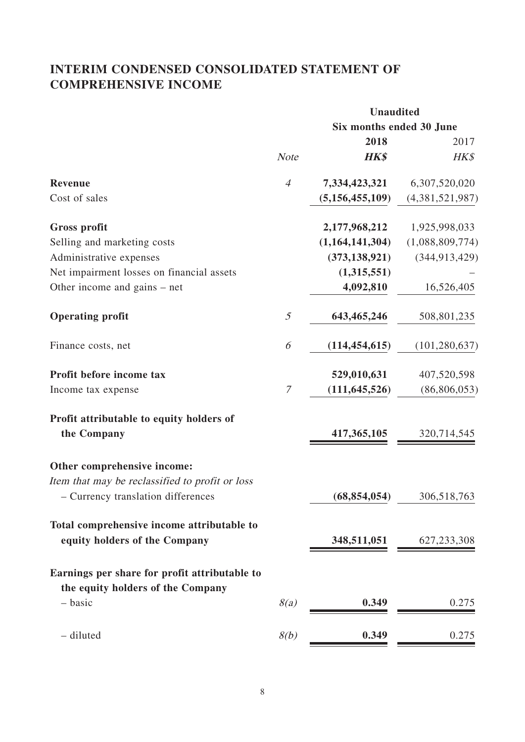## **INTERIM CONDENSED CONSOLIDATED STATEMENT OF COMPREHENSIVE INCOME**

|                                                                                    |                | <b>Unaudited</b>         |                 |
|------------------------------------------------------------------------------------|----------------|--------------------------|-----------------|
|                                                                                    |                | Six months ended 30 June |                 |
|                                                                                    |                | 2018                     | 2017            |
|                                                                                    | <b>Note</b>    | <b>HK\$</b>              | HK\$            |
| Revenue                                                                            | $\overline{4}$ | 7,334,423,321            | 6,307,520,020   |
| Cost of sales                                                                      |                | (5, 156, 455, 109)       | (4,381,521,987) |
| <b>Gross profit</b>                                                                |                | 2,177,968,212            | 1,925,998,033   |
| Selling and marketing costs                                                        |                | (1,164,141,304)          | (1,088,809,774) |
| Administrative expenses                                                            |                | (373, 138, 921)          | (344, 913, 429) |
| Net impairment losses on financial assets                                          |                | (1,315,551)              |                 |
| Other income and gains – net                                                       |                | 4,092,810                | 16,526,405      |
| <b>Operating profit</b>                                                            | 5              | 643,465,246              | 508,801,235     |
| Finance costs, net                                                                 | 6              | (114, 454, 615)          | (101, 280, 637) |
| Profit before income tax                                                           |                | 529,010,631              | 407,520,598     |
| Income tax expense                                                                 | 7              | (111, 645, 526)          | (86, 806, 053)  |
| Profit attributable to equity holders of                                           |                |                          |                 |
| the Company                                                                        |                | 417,365,105              | 320,714,545     |
| Other comprehensive income:                                                        |                |                          |                 |
| Item that may be reclassified to profit or loss                                    |                |                          |                 |
| - Currency translation differences                                                 |                | (68, 854, 054)           | 306,518,763     |
| Total comprehensive income attributable to                                         |                |                          |                 |
| equity holders of the Company                                                      |                | 348,511,051              | 627, 233, 308   |
| Earnings per share for profit attributable to<br>the equity holders of the Company |                |                          |                 |
| - basic                                                                            | 8(a)           | 0.349                    | 0.275           |
| - diluted                                                                          | 8(b)           | 0.349                    | 0.275           |
|                                                                                    |                |                          |                 |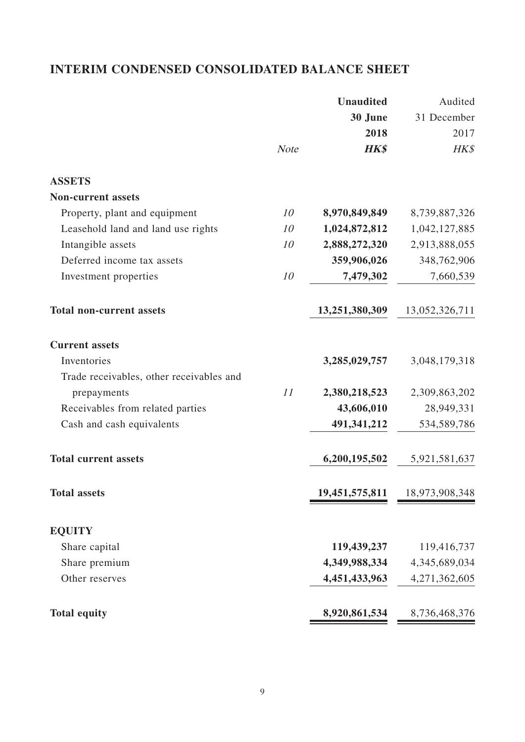## **INTERIM CONDENSED CONSOLIDATED BALANCE SHEET**

|                                          |             | <b>Unaudited</b> | Audited        |
|------------------------------------------|-------------|------------------|----------------|
|                                          |             | 30 June          | 31 December    |
|                                          |             | 2018             | 2017           |
|                                          | <b>Note</b> | <b>HK\$</b>      | HK\$           |
| <b>ASSETS</b>                            |             |                  |                |
| <b>Non-current assets</b>                |             |                  |                |
| Property, plant and equipment            | 10          | 8,970,849,849    | 8,739,887,326  |
| Leasehold land and land use rights       | 10          | 1,024,872,812    | 1,042,127,885  |
| Intangible assets                        | 10          | 2,888,272,320    | 2,913,888,055  |
| Deferred income tax assets               |             | 359,906,026      | 348,762,906    |
| Investment properties                    | 10          | 7,479,302        | 7,660,539      |
| <b>Total non-current assets</b>          |             | 13,251,380,309   | 13,052,326,711 |
| <b>Current assets</b>                    |             |                  |                |
| Inventories                              |             | 3,285,029,757    | 3,048,179,318  |
| Trade receivables, other receivables and |             |                  |                |
| prepayments                              | 11          | 2,380,218,523    | 2,309,863,202  |
| Receivables from related parties         |             | 43,606,010       | 28,949,331     |
| Cash and cash equivalents                |             | 491,341,212      | 534,589,786    |
| <b>Total current assets</b>              |             | 6,200,195,502    | 5,921,581,637  |
| <b>Total assets</b>                      |             | 19,451,575,811   | 18,973,908,348 |
| <b>EQUITY</b>                            |             |                  |                |
| Share capital                            |             | 119,439,237      | 119,416,737    |
| Share premium                            |             | 4,349,988,334    | 4,345,689,034  |
| Other reserves                           |             | 4,451,433,963    | 4,271,362,605  |
| <b>Total equity</b>                      |             | 8,920,861,534    | 8,736,468,376  |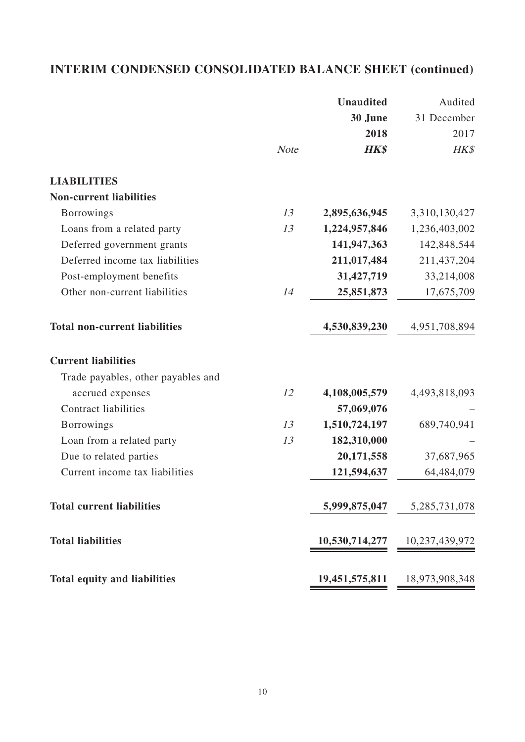# **INTERIM CONDENSED CONSOLIDATED BALANCE SHEET (continued)**

|                                      |             | <b>Unaudited</b> | Audited          |
|--------------------------------------|-------------|------------------|------------------|
|                                      |             | 30 June          | 31 December      |
|                                      |             | 2018             | 2017             |
|                                      | <b>Note</b> | <b>HK\$</b>      | HK\$             |
| <b>LIABILITIES</b>                   |             |                  |                  |
| <b>Non-current liabilities</b>       |             |                  |                  |
| <b>Borrowings</b>                    | 13          | 2,895,636,945    | 3,310,130,427    |
| Loans from a related party           | 13          | 1,224,957,846    | 1,236,403,002    |
| Deferred government grants           |             | 141,947,363      | 142,848,544      |
| Deferred income tax liabilities      |             | 211,017,484      | 211,437,204      |
| Post-employment benefits             |             | 31,427,719       | 33,214,008       |
| Other non-current liabilities        | 14          | 25,851,873       | 17,675,709       |
| <b>Total non-current liabilities</b> |             | 4,530,839,230    | 4,951,708,894    |
| <b>Current liabilities</b>           |             |                  |                  |
| Trade payables, other payables and   |             |                  |                  |
| accrued expenses                     | 12          | 4,108,005,579    | 4,493,818,093    |
| <b>Contract liabilities</b>          |             | 57,069,076       |                  |
| <b>Borrowings</b>                    | 13          | 1,510,724,197    | 689,740,941      |
| Loan from a related party            | 13          | 182,310,000      |                  |
| Due to related parties               |             | 20,171,558       | 37,687,965       |
| Current income tax liabilities       |             | 121,594,637      | 64,484,079       |
| <b>Total current liabilities</b>     |             | 5,999,875,047    | 5, 285, 731, 078 |
| <b>Total liabilities</b>             |             | 10,530,714,277   | 10,237,439,972   |
| <b>Total equity and liabilities</b>  |             | 19,451,575,811   | 18,973,908,348   |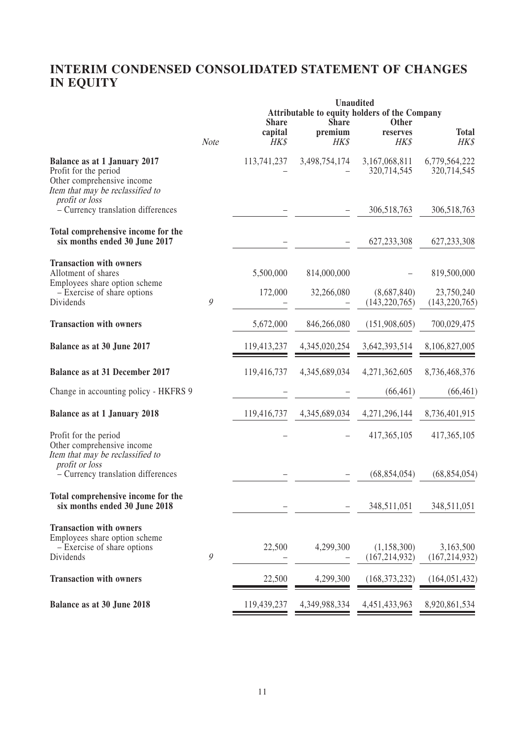## **INTERIM CONDENSED CONSOLIDATED STATEMENT OF CHANGES IN EQUITY**

|                                                                                                                                                  |               |                                 | <b>Unaudited</b>                | Attributable to equity holders of the Company |                               |
|--------------------------------------------------------------------------------------------------------------------------------------------------|---------------|---------------------------------|---------------------------------|-----------------------------------------------|-------------------------------|
|                                                                                                                                                  | Note          | <b>Share</b><br>capital<br>HK\$ | <b>Share</b><br>premium<br>HK\$ | Other<br>reserves<br>HK\$                     | <b>Total</b><br>HK\$          |
| <b>Balance as at 1 January 2017</b><br>Profit for the period<br>Other comprehensive income<br>Item that may be reclassified to<br>profit or loss |               | 113,741,237                     | 3,498,754,174                   | 3,167,068,811<br>320,714,545                  | 6,779,564,222<br>320,714,545  |
| - Currency translation differences                                                                                                               |               |                                 |                                 | 306,518,763                                   | 306,518,763                   |
| Total comprehensive income for the<br>six months ended 30 June 2017                                                                              |               |                                 |                                 | 627, 233, 308                                 | 627, 233, 308                 |
| <b>Transaction with owners</b><br>Allotment of shares<br>Employees share option scheme                                                           |               | 5,500,000                       | 814,000,000                     |                                               | 819,500,000                   |
| - Exercise of share options<br>Dividends                                                                                                         | 9             | 172,000                         | 32,266,080                      | (8,687,840)<br>(143, 220, 765)                | 23,750,240<br>(143, 220, 765) |
| <b>Transaction with owners</b>                                                                                                                   |               | 5,672,000                       | 846,266,080                     | (151,908,605)                                 | 700,029,475                   |
| Balance as at 30 June 2017                                                                                                                       |               | 119,413,237                     | 4,345,020,254                   | 3,642,393,514                                 | 8,106,827,005                 |
| <b>Balance as at 31 December 2017</b>                                                                                                            |               | 119,416,737                     | 4,345,689,034                   | 4,271,362,605                                 | 8,736,468,376                 |
| Change in accounting policy - HKFRS 9                                                                                                            |               |                                 |                                 | (66, 461)                                     | (66, 461)                     |
| <b>Balance as at 1 January 2018</b>                                                                                                              |               | 119,416,737                     | 4,345,689,034                   | 4,271,296,144                                 | 8,736,401,915                 |
| Profit for the period<br>Other comprehensive income<br>Item that may be reclassified to<br>profit or loss                                        |               |                                 |                                 | 417,365,105                                   | 417,365,105                   |
| - Currency translation differences                                                                                                               |               |                                 |                                 | (68, 854, 054)                                | (68, 854, 054)                |
| Total comprehensive income for the<br>six months ended 30 June 2018                                                                              |               |                                 |                                 | 348,511,051                                   | 348,511,051                   |
| <b>Transaction with owners</b><br>Employees share option scheme<br>- Exercise of share options<br>Dividends                                      | $\mathcal{G}$ | 22,500                          | 4,299,300                       | (1, 158, 300)<br>(167, 214, 932)              | 3,163,500<br>(167, 214, 932)  |
| <b>Transaction with owners</b>                                                                                                                   |               | 22,500                          | 4,299,300                       | (168, 373, 232)                               | (164, 051, 432)               |
| Balance as at 30 June 2018                                                                                                                       |               | 119,439,237                     | 4,349,988,334                   | 4,451,433,963                                 | 8,920,861,534                 |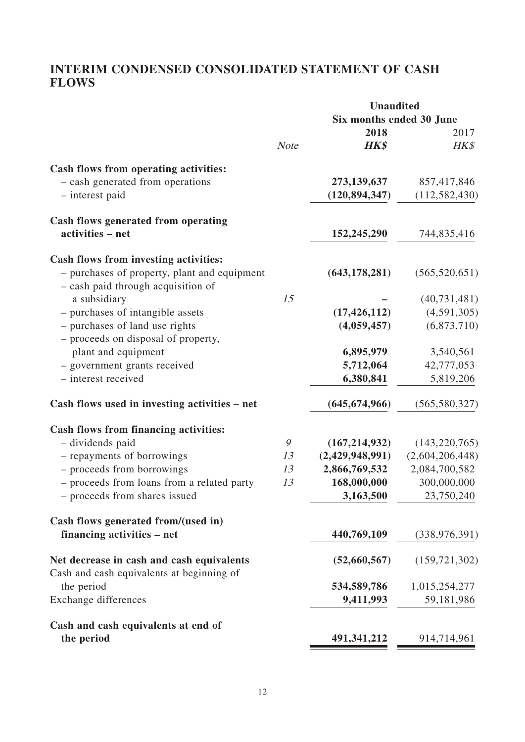## **INTERIM CONDENSED CONSOLIDATED STATEMENT OF CASH FLOWS**

|                                                                                    |                          | <b>Unaudited</b> |                 |  |
|------------------------------------------------------------------------------------|--------------------------|------------------|-----------------|--|
|                                                                                    | Six months ended 30 June |                  |                 |  |
|                                                                                    |                          | 2018             | 2017            |  |
|                                                                                    | <b>Note</b>              | <b>HK\$</b>      | HK\$            |  |
| Cash flows from operating activities:                                              |                          |                  |                 |  |
| - cash generated from operations                                                   |                          | 273,139,637      | 857,417,846     |  |
| - interest paid                                                                    |                          | (120, 894, 347)  | (112, 582, 430) |  |
|                                                                                    |                          |                  |                 |  |
| Cash flows generated from operating                                                |                          |                  |                 |  |
| activities - net                                                                   |                          | 152,245,290      | 744,835,416     |  |
| Cash flows from investing activities:                                              |                          |                  |                 |  |
| - purchases of property, plant and equipment<br>- cash paid through acquisition of |                          | (643, 178, 281)  | (565, 520, 651) |  |
| a subsidiary                                                                       | 15                       |                  | (40, 731, 481)  |  |
| - purchases of intangible assets                                                   |                          | (17, 426, 112)   | (4,591,305)     |  |
| - purchases of land use rights                                                     |                          | (4,059,457)      | (6,873,710)     |  |
| - proceeds on disposal of property,                                                |                          |                  |                 |  |
| plant and equipment                                                                |                          | 6,895,979        | 3,540,561       |  |
| - government grants received                                                       |                          | 5,712,064        | 42,777,053      |  |
| - interest received                                                                |                          | 6,380,841        | 5,819,206       |  |
| Cash flows used in investing activities - net                                      |                          | (645, 674, 966)  | (565, 580, 327) |  |
| Cash flows from financing activities:                                              |                          |                  |                 |  |
| - dividends paid                                                                   | 9                        | (167, 214, 932)  | (143, 220, 765) |  |
| - repayments of borrowings                                                         | 13                       | (2,429,948,991)  | (2,604,206,448) |  |
| - proceeds from borrowings                                                         | 13                       | 2,866,769,532    | 2,084,700,582   |  |
| - proceeds from loans from a related party                                         | 13                       | 168,000,000      | 300,000,000     |  |
| - proceeds from shares issued                                                      |                          | 3,163,500        | 23,750,240      |  |
| Cash flows generated from/(used in)                                                |                          |                  |                 |  |
| financing activities – net                                                         |                          | 440,769,109      | (338, 976, 391) |  |
| Net decrease in cash and cash equivalents                                          |                          | (52,660,567)     | (159, 721, 302) |  |
| Cash and cash equivalents at beginning of                                          |                          |                  |                 |  |
| the period                                                                         |                          | 534,589,786      | 1,015,254,277   |  |
| <b>Exchange differences</b>                                                        |                          | 9,411,993        | 59,181,986      |  |
| Cash and cash equivalents at end of                                                |                          |                  |                 |  |
| the period                                                                         |                          | 491,341,212      | 914,714,961     |  |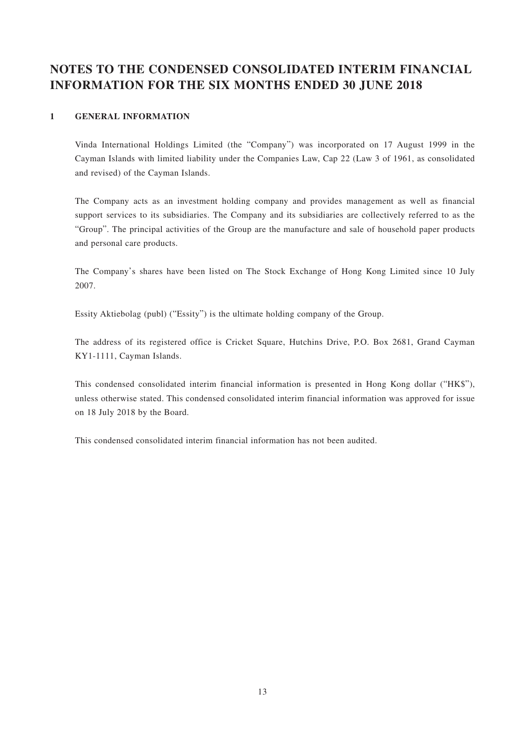## **NOTES TO THE CONDENSED CONSOLIDATED INTERIM FINANCIAL INFORMATION FOR THE SIX MONTHS ENDED 30 JUNE 2018**

#### **1 GENERAL INFORMATION**

Vinda International Holdings Limited (the "Company") was incorporated on 17 August 1999 in the Cayman Islands with limited liability under the Companies Law, Cap 22 (Law 3 of 1961, as consolidated and revised) of the Cayman Islands.

The Company acts as an investment holding company and provides management as well as financial support services to its subsidiaries. The Company and its subsidiaries are collectively referred to as the "Group". The principal activities of the Group are the manufacture and sale of household paper products and personal care products.

The Company's shares have been listed on The Stock Exchange of Hong Kong Limited since 10 July 2007.

Essity Aktiebolag (publ) ("Essity") is the ultimate holding company of the Group.

The address of its registered office is Cricket Square, Hutchins Drive, P.O. Box 2681, Grand Cayman KY1-1111, Cayman Islands.

This condensed consolidated interim financial information is presented in Hong Kong dollar ("HK\$"), unless otherwise stated. This condensed consolidated interim financial information was approved for issue on 18 July 2018 by the Board.

This condensed consolidated interim financial information has not been audited.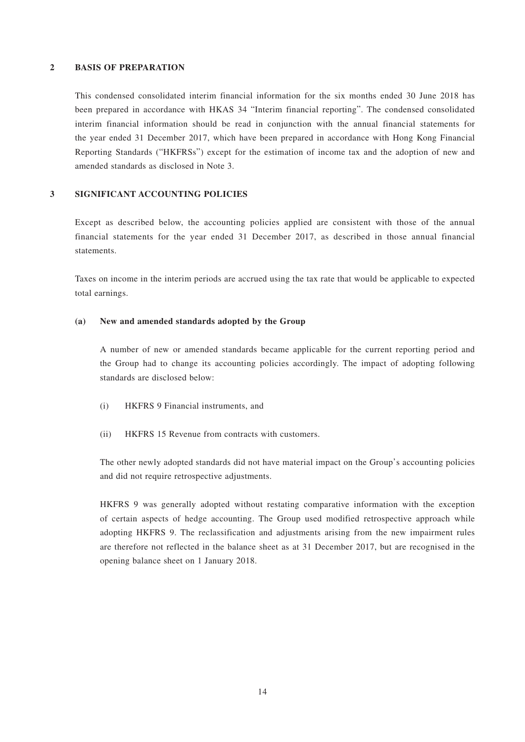#### **2 BASIS OF PREPARATION**

This condensed consolidated interim financial information for the six months ended 30 June 2018 has been prepared in accordance with HKAS 34 "Interim financial reporting". The condensed consolidated interim financial information should be read in conjunction with the annual financial statements for the year ended 31 December 2017, which have been prepared in accordance with Hong Kong Financial Reporting Standards ("HKFRSs") except for the estimation of income tax and the adoption of new and amended standards as disclosed in Note 3.

#### **3 SIGNIFICANT ACCOUNTING POLICIES**

Except as described below, the accounting policies applied are consistent with those of the annual financial statements for the year ended 31 December 2017, as described in those annual financial statements.

Taxes on income in the interim periods are accrued using the tax rate that would be applicable to expected total earnings.

#### **(a) New and amended standards adopted by the Group**

A number of new or amended standards became applicable for the current reporting period and the Group had to change its accounting policies accordingly. The impact of adopting following standards are disclosed below:

- (i) HKFRS 9 Financial instruments, and
- (ii) HKFRS 15 Revenue from contracts with customers.

The other newly adopted standards did not have material impact on the Group's accounting policies and did not require retrospective adjustments.

HKFRS 9 was generally adopted without restating comparative information with the exception of certain aspects of hedge accounting. The Group used modified retrospective approach while adopting HKFRS 9. The reclassification and adjustments arising from the new impairment rules are therefore not reflected in the balance sheet as at 31 December 2017, but are recognised in the opening balance sheet on 1 January 2018.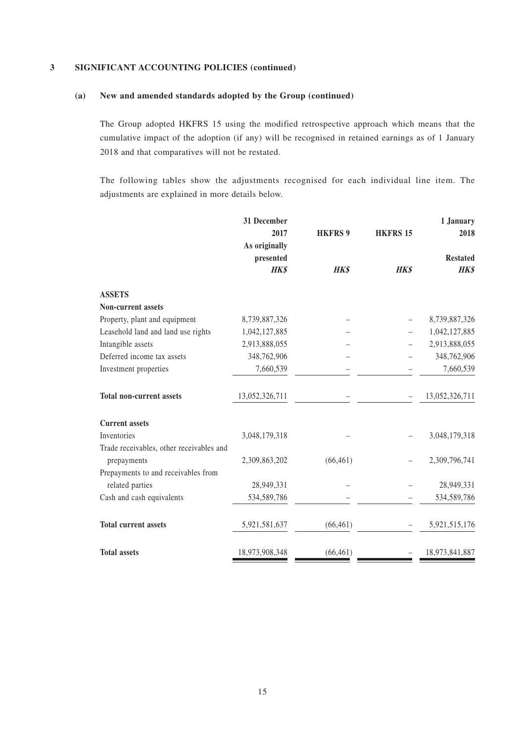#### **(a) New and amended standards adopted by the Group (continued)**

The Group adopted HKFRS 15 using the modified retrospective approach which means that the cumulative impact of the adoption (if any) will be recognised in retained earnings as of 1 January 2018 and that comparatives will not be restated.

The following tables show the adjustments recognised for each individual line item. The adjustments are explained in more details below.

|                                          | 31 December    |                |                 | 1 January       |
|------------------------------------------|----------------|----------------|-----------------|-----------------|
|                                          | 2017           | <b>HKFRS 9</b> | <b>HKFRS 15</b> | 2018            |
|                                          | As originally  |                |                 |                 |
|                                          | presented      |                |                 | <b>Restated</b> |
|                                          | <b>HK\$</b>    | HK\$           | <b>HK\$</b>     | <b>HK\$</b>     |
| <b>ASSETS</b>                            |                |                |                 |                 |
| <b>Non-current assets</b>                |                |                |                 |                 |
| Property, plant and equipment            | 8,739,887,326  |                |                 | 8,739,887,326   |
| Leasehold land and land use rights       | 1,042,127,885  |                |                 | 1,042,127,885   |
| Intangible assets                        | 2,913,888,055  |                |                 | 2,913,888,055   |
| Deferred income tax assets               | 348,762,906    |                |                 | 348,762,906     |
| Investment properties                    | 7,660,539      |                |                 | 7,660,539       |
| <b>Total non-current assets</b>          | 13,052,326,711 |                |                 | 13,052,326,711  |
| <b>Current assets</b>                    |                |                |                 |                 |
| Inventories                              | 3,048,179,318  |                |                 | 3,048,179,318   |
| Trade receivables, other receivables and |                |                |                 |                 |
| prepayments                              | 2,309,863,202  | (66, 461)      |                 | 2,309,796,741   |
| Prepayments to and receivables from      |                |                |                 |                 |
| related parties                          | 28,949,331     |                |                 | 28,949,331      |
| Cash and cash equivalents                | 534,589,786    |                |                 | 534,589,786     |
| <b>Total current assets</b>              | 5,921,581,637  | (66, 461)      |                 | 5,921,515,176   |
| <b>Total assets</b>                      | 18,973,908,348 | (66, 461)      |                 | 18,973,841,887  |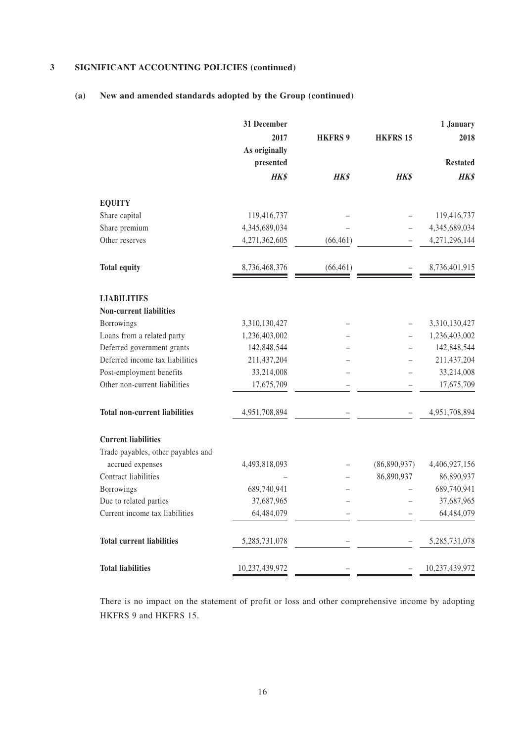## **(a) New and amended standards adopted by the Group (continued)**

|                                      | 31 December    |                |                 | 1 January       |
|--------------------------------------|----------------|----------------|-----------------|-----------------|
|                                      | 2017           | <b>HKFRS 9</b> | <b>HKFRS 15</b> | 2018            |
|                                      | As originally  |                |                 |                 |
|                                      | presented      |                |                 | <b>Restated</b> |
|                                      | HK\$           | HK\$           | HK\$            | HK\$            |
| <b>EQUITY</b>                        |                |                |                 |                 |
| Share capital                        | 119,416,737    |                |                 | 119,416,737     |
| Share premium                        | 4,345,689,034  |                |                 | 4,345,689,034   |
| Other reserves                       | 4,271,362,605  | (66, 461)      |                 | 4,271,296,144   |
| <b>Total equity</b>                  | 8,736,468,376  | (66, 461)      |                 | 8,736,401,915   |
|                                      |                |                |                 |                 |
| <b>LIABILITIES</b>                   |                |                |                 |                 |
| <b>Non-current liabilities</b>       |                |                |                 |                 |
| Borrowings                           | 3,310,130,427  |                |                 | 3,310,130,427   |
| Loans from a related party           | 1,236,403,002  |                |                 | 1,236,403,002   |
| Deferred government grants           | 142,848,544    |                |                 | 142,848,544     |
| Deferred income tax liabilities      | 211,437,204    |                |                 | 211,437,204     |
| Post-employment benefits             | 33,214,008     |                |                 | 33,214,008      |
| Other non-current liabilities        | 17,675,709     |                |                 | 17,675,709      |
| <b>Total non-current liabilities</b> | 4,951,708,894  |                |                 | 4,951,708,894   |
| <b>Current liabilities</b>           |                |                |                 |                 |
| Trade payables, other payables and   |                |                |                 |                 |
| accrued expenses                     | 4,493,818,093  |                | (86,890,937)    | 4,406,927,156   |
| Contract liabilities                 |                |                | 86,890,937      | 86,890,937      |
| Borrowings                           | 689,740,941    |                |                 | 689,740,941     |
| Due to related parties               | 37,687,965     |                |                 | 37,687,965      |
| Current income tax liabilities       | 64,484,079     |                |                 | 64,484,079      |
| <b>Total current liabilities</b>     | 5,285,731,078  |                |                 | 5,285,731,078   |
| <b>Total liabilities</b>             | 10,237,439,972 |                |                 | 10,237,439,972  |

There is no impact on the statement of profit or loss and other comprehensive income by adopting HKFRS 9 and HKFRS 15.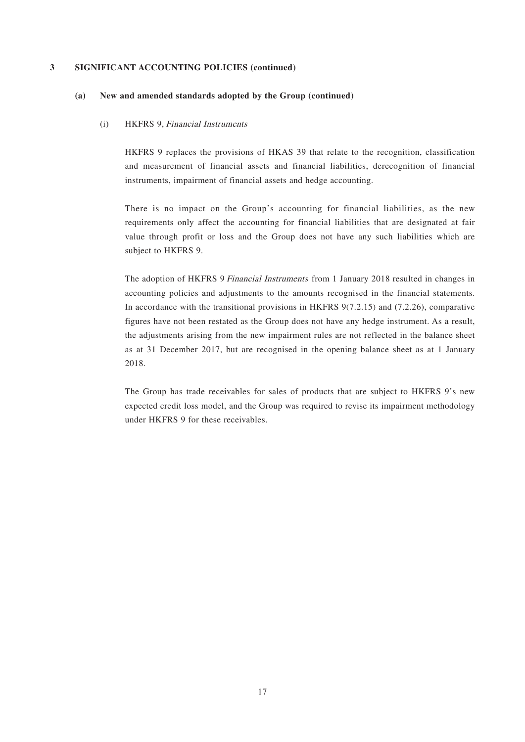#### **(a) New and amended standards adopted by the Group (continued)**

#### (i) HKFRS 9, Financial Instruments

HKFRS 9 replaces the provisions of HKAS 39 that relate to the recognition, classification and measurement of financial assets and financial liabilities, derecognition of financial instruments, impairment of financial assets and hedge accounting.

There is no impact on the Group's accounting for financial liabilities, as the new requirements only affect the accounting for financial liabilities that are designated at fair value through profit or loss and the Group does not have any such liabilities which are subject to HKFRS 9.

The adoption of HKFRS 9 Financial Instruments from 1 January 2018 resulted in changes in accounting policies and adjustments to the amounts recognised in the financial statements. In accordance with the transitional provisions in HKFRS 9(7.2.15) and (7.2.26), comparative figures have not been restated as the Group does not have any hedge instrument. As a result, the adjustments arising from the new impairment rules are not reflected in the balance sheet as at 31 December 2017, but are recognised in the opening balance sheet as at 1 January 2018.

The Group has trade receivables for sales of products that are subject to HKFRS 9's new expected credit loss model, and the Group was required to revise its impairment methodology under HKFRS 9 for these receivables.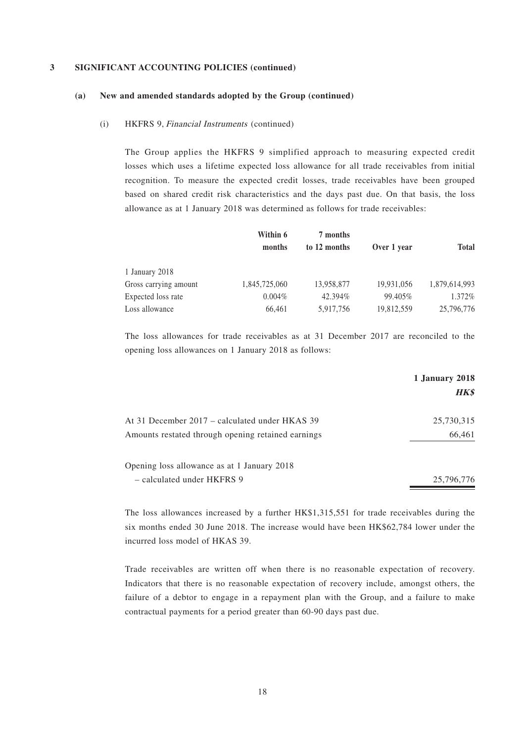#### **(a) New and amended standards adopted by the Group (continued)**

#### (i) HKFRS 9, Financial Instruments (continued)

The Group applies the HKFRS 9 simplified approach to measuring expected credit losses which uses a lifetime expected loss allowance for all trade receivables from initial recognition. To measure the expected credit losses, trade receivables have been grouped based on shared credit risk characteristics and the days past due. On that basis, the loss allowance as at 1 January 2018 was determined as follows for trade receivables:

|                       | Within 6<br>months | 7 months<br>to 12 months | Over 1 year | <b>Total</b>  |
|-----------------------|--------------------|--------------------------|-------------|---------------|
| 1 January 2018        |                    |                          |             |               |
| Gross carrying amount | 1,845,725,060      | 13,958,877               | 19,931,056  | 1,879,614,993 |
| Expected loss rate    | $0.004\%$          | 42.394%                  | 99.405%     | $1.372\%$     |
| Loss allowance        | 66,461             | 5,917,756                | 19,812,559  | 25,796,776    |

The loss allowances for trade receivables as at 31 December 2017 are reconciled to the opening loss allowances on 1 January 2018 as follows:

|                                                    | 1 January 2018<br><b>HK\$</b> |
|----------------------------------------------------|-------------------------------|
|                                                    |                               |
| At 31 December 2017 – calculated under HKAS 39     | 25,730,315                    |
| Amounts restated through opening retained earnings | 66,461                        |
|                                                    |                               |
| Opening loss allowance as at 1 January 2018        |                               |
| - calculated under HKFRS 9                         | 25,796,776                    |

The loss allowances increased by a further HK\$1,315,551 for trade receivables during the six months ended 30 June 2018. The increase would have been HK\$62,784 lower under the incurred loss model of HKAS 39.

Trade receivables are written off when there is no reasonable expectation of recovery. Indicators that there is no reasonable expectation of recovery include, amongst others, the failure of a debtor to engage in a repayment plan with the Group, and a failure to make contractual payments for a period greater than 60-90 days past due.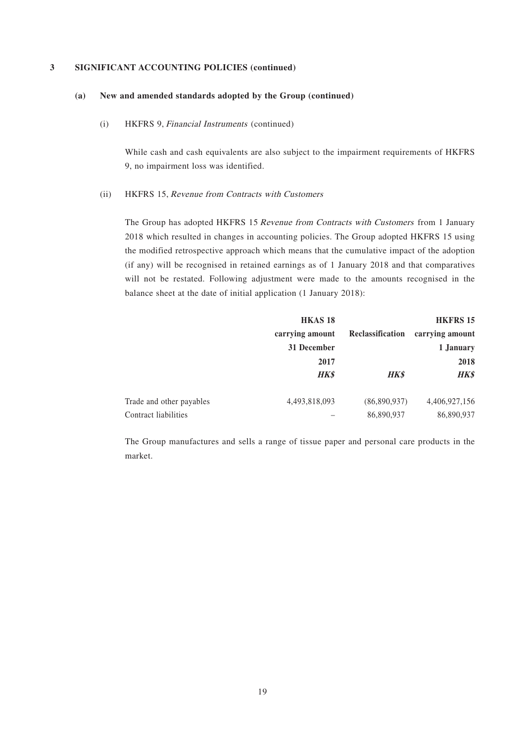#### **(a) New and amended standards adopted by the Group (continued)**

(i) HKFRS 9, Financial Instruments (continued)

While cash and cash equivalents are also subject to the impairment requirements of HKFRS 9, no impairment loss was identified.

#### (ii) HKFRS 15, Revenue from Contracts with Customers

The Group has adopted HKFRS 15 Revenue from Contracts with Customers from 1 January 2018 which resulted in changes in accounting policies. The Group adopted HKFRS 15 using the modified retrospective approach which means that the cumulative impact of the adoption (if any) will be recognised in retained earnings as of 1 January 2018 and that comparatives will not be restated. Following adjustment were made to the amounts recognised in the balance sheet at the date of initial application (1 January 2018):

|                          | <b>HKAS18</b>   |                  | <b>HKFRS 15</b> |
|--------------------------|-----------------|------------------|-----------------|
|                          | carrying amount | Reclassification | carrying amount |
|                          | 31 December     |                  | 1 January       |
|                          | 2017            |                  | 2018            |
|                          | <b>HK\$</b>     | <b>HK\$</b>      | <b>HK\$</b>     |
| Trade and other payables | 4,493,818,093   | (86,890,937)     | 4,406,927,156   |
| Contract liabilities     |                 | 86,890,937       | 86,890,937      |

The Group manufactures and sells a range of tissue paper and personal care products in the market.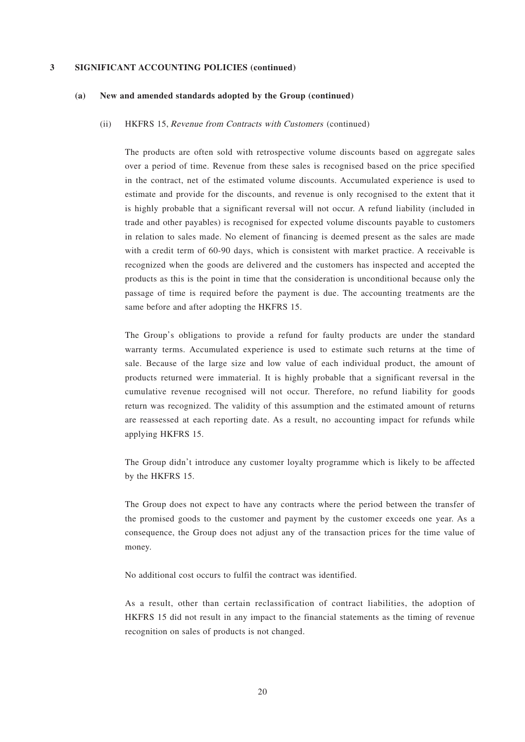#### **(a) New and amended standards adopted by the Group (continued)**

#### (ii) HKFRS 15, Revenue from Contracts with Customers (continued)

The products are often sold with retrospective volume discounts based on aggregate sales over a period of time. Revenue from these sales is recognised based on the price specified in the contract, net of the estimated volume discounts. Accumulated experience is used to estimate and provide for the discounts, and revenue is only recognised to the extent that it is highly probable that a significant reversal will not occur. A refund liability (included in trade and other payables) is recognised for expected volume discounts payable to customers in relation to sales made. No element of financing is deemed present as the sales are made with a credit term of 60-90 days, which is consistent with market practice. A receivable is recognized when the goods are delivered and the customers has inspected and accepted the products as this is the point in time that the consideration is unconditional because only the passage of time is required before the payment is due. The accounting treatments are the same before and after adopting the HKFRS 15.

The Group's obligations to provide a refund for faulty products are under the standard warranty terms. Accumulated experience is used to estimate such returns at the time of sale. Because of the large size and low value of each individual product, the amount of products returned were immaterial. It is highly probable that a significant reversal in the cumulative revenue recognised will not occur. Therefore, no refund liability for goods return was recognized. The validity of this assumption and the estimated amount of returns are reassessed at each reporting date. As a result, no accounting impact for refunds while applying HKFRS 15.

The Group didn't introduce any customer loyalty programme which is likely to be affected by the HKFRS 15.

The Group does not expect to have any contracts where the period between the transfer of the promised goods to the customer and payment by the customer exceeds one year. As a consequence, the Group does not adjust any of the transaction prices for the time value of money.

No additional cost occurs to fulfil the contract was identified.

As a result, other than certain reclassification of contract liabilities, the adoption of HKFRS 15 did not result in any impact to the financial statements as the timing of revenue recognition on sales of products is not changed.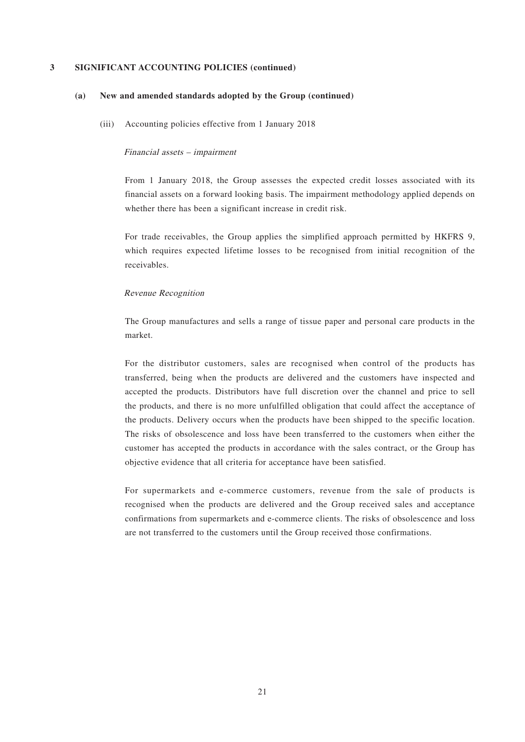#### **(a) New and amended standards adopted by the Group (continued)**

(iii) Accounting policies effective from 1 January 2018

#### Financial assets – impairment

From 1 January 2018, the Group assesses the expected credit losses associated with its financial assets on a forward looking basis. The impairment methodology applied depends on whether there has been a significant increase in credit risk.

For trade receivables, the Group applies the simplified approach permitted by HKFRS 9, which requires expected lifetime losses to be recognised from initial recognition of the receivables.

#### Revenue Recognition

The Group manufactures and sells a range of tissue paper and personal care products in the market.

For the distributor customers, sales are recognised when control of the products has transferred, being when the products are delivered and the customers have inspected and accepted the products. Distributors have full discretion over the channel and price to sell the products, and there is no more unfulfilled obligation that could affect the acceptance of the products. Delivery occurs when the products have been shipped to the specific location. The risks of obsolescence and loss have been transferred to the customers when either the customer has accepted the products in accordance with the sales contract, or the Group has objective evidence that all criteria for acceptance have been satisfied.

For supermarkets and e-commerce customers, revenue from the sale of products is recognised when the products are delivered and the Group received sales and acceptance confirmations from supermarkets and e-commerce clients. The risks of obsolescence and loss are not transferred to the customers until the Group received those confirmations.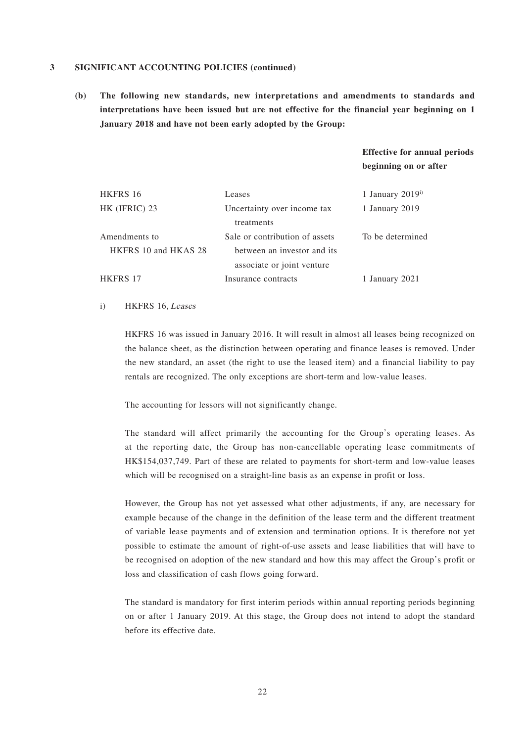**(b) The following new standards, new interpretations and amendments to standards and interpretations have been issued but are not effective for the financial year beginning on 1 January 2018 and have not been early adopted by the Group:**

### **Effective for annual periods beginning on or after**

| Leases                         | 1 January $2019i$ |
|--------------------------------|-------------------|
| Uncertainty over income tax    | 1 January 2019    |
| treatments                     |                   |
| Sale or contribution of assets | To be determined  |
| between an investor and its    |                   |
| associate or joint venture     |                   |
| Insurance contracts            | 1 January 2021    |
|                                |                   |

#### i) HKFRS 16, Leases

HKFRS 16 was issued in January 2016. It will result in almost all leases being recognized on the balance sheet, as the distinction between operating and finance leases is removed. Under the new standard, an asset (the right to use the leased item) and a financial liability to pay rentals are recognized. The only exceptions are short-term and low-value leases.

The accounting for lessors will not significantly change.

The standard will affect primarily the accounting for the Group's operating leases. As at the reporting date, the Group has non-cancellable operating lease commitments of HK\$154,037,749. Part of these are related to payments for short-term and low-value leases which will be recognised on a straight-line basis as an expense in profit or loss.

However, the Group has not yet assessed what other adjustments, if any, are necessary for example because of the change in the definition of the lease term and the different treatment of variable lease payments and of extension and termination options. It is therefore not yet possible to estimate the amount of right-of-use assets and lease liabilities that will have to be recognised on adoption of the new standard and how this may affect the Group's profit or loss and classification of cash flows going forward.

The standard is mandatory for first interim periods within annual reporting periods beginning on or after 1 January 2019. At this stage, the Group does not intend to adopt the standard before its effective date.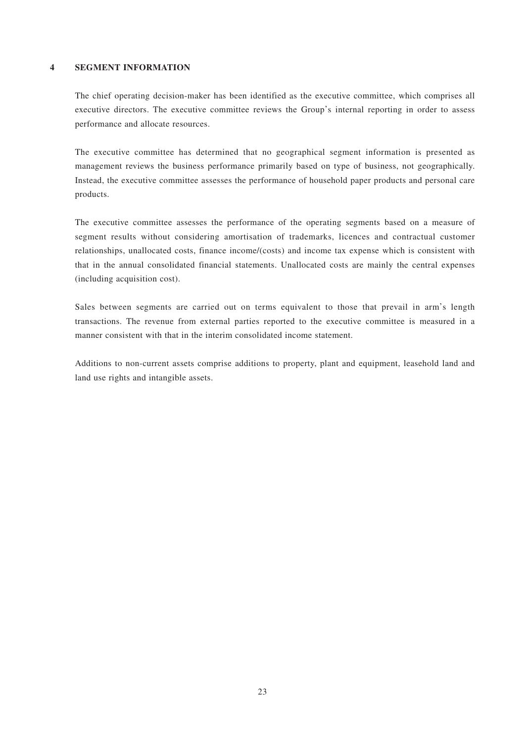#### **4 SEGMENT INFORMATION**

The chief operating decision-maker has been identified as the executive committee, which comprises all executive directors. The executive committee reviews the Group's internal reporting in order to assess performance and allocate resources.

The executive committee has determined that no geographical segment information is presented as management reviews the business performance primarily based on type of business, not geographically. Instead, the executive committee assesses the performance of household paper products and personal care products.

The executive committee assesses the performance of the operating segments based on a measure of segment results without considering amortisation of trademarks, licences and contractual customer relationships, unallocated costs, finance income/(costs) and income tax expense which is consistent with that in the annual consolidated financial statements. Unallocated costs are mainly the central expenses (including acquisition cost).

Sales between segments are carried out on terms equivalent to those that prevail in arm's length transactions. The revenue from external parties reported to the executive committee is measured in a manner consistent with that in the interim consolidated income statement.

Additions to non-current assets comprise additions to property, plant and equipment, leasehold land and land use rights and intangible assets.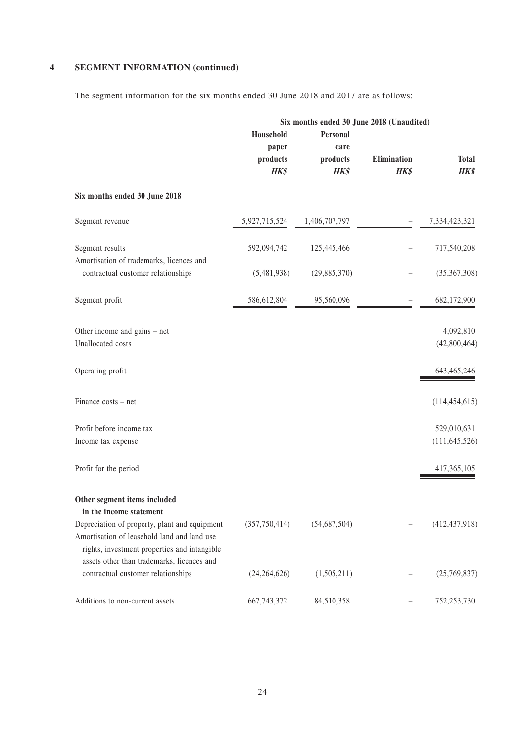## **4 SEGMENT INFORMATION (continued)**

The segment information for the six months ended 30 June 2018 and 2017 are as follows:

|                                                                                                                                                                                            | Six months ended 30 June 2018 (Unaudited) |                                             |                            |                                |  |
|--------------------------------------------------------------------------------------------------------------------------------------------------------------------------------------------|-------------------------------------------|---------------------------------------------|----------------------------|--------------------------------|--|
|                                                                                                                                                                                            | Household<br>paper<br>products<br>HK\$    | Personal<br>care<br>products<br><b>HK\$</b> | Elimination<br><b>HK\$</b> | <b>Total</b><br><b>HK\$</b>    |  |
| Six months ended 30 June 2018                                                                                                                                                              |                                           |                                             |                            |                                |  |
| Segment revenue                                                                                                                                                                            | 5,927,715,524                             | 1,406,707,797                               |                            | 7,334,423,321                  |  |
| Segment results<br>Amortisation of trademarks, licences and                                                                                                                                | 592,094,742                               | 125,445,466                                 |                            | 717,540,208                    |  |
| contractual customer relationships                                                                                                                                                         | (5,481,938)                               | (29, 885, 370)                              |                            | (35,367,308)                   |  |
| Segment profit                                                                                                                                                                             | 586,612,804                               | 95,560,096                                  |                            | 682,172,900                    |  |
| Other income and gains – net<br>Unallocated costs                                                                                                                                          |                                           |                                             |                            | 4,092,810<br>(42,800,464)      |  |
| Operating profit                                                                                                                                                                           |                                           |                                             |                            | 643, 465, 246                  |  |
| Finance costs - net                                                                                                                                                                        |                                           |                                             |                            | (114, 454, 615)                |  |
| Profit before income tax<br>Income tax expense                                                                                                                                             |                                           |                                             |                            | 529,010,631<br>(111, 645, 526) |  |
| Profit for the period                                                                                                                                                                      |                                           |                                             |                            | 417, 365, 105                  |  |
| Other segment items included<br>in the income statement                                                                                                                                    |                                           |                                             |                            |                                |  |
| Depreciation of property, plant and equipment<br>Amortisation of leasehold land and land use<br>rights, investment properties and intangible<br>assets other than trademarks, licences and | (357,750,414)                             | (54,687,504)                                |                            | (412, 437, 918)                |  |
| contractual customer relationships                                                                                                                                                         | (24, 264, 626)                            | (1,505,211)                                 |                            | (25,769,837)                   |  |
| Additions to non-current assets                                                                                                                                                            | 667,743,372                               | 84,510,358                                  |                            | 752,253,730                    |  |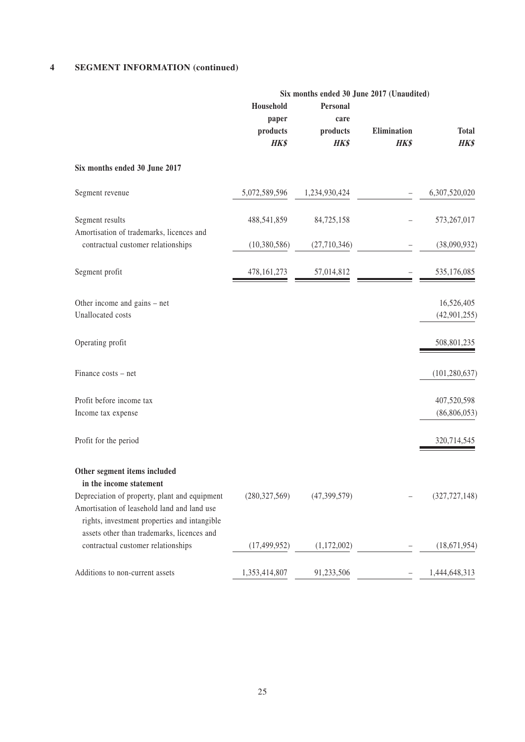#### **4 SEGMENT INFORMATION (continued)**

|                                                                                                                                                                                            | Six months ended 30 June 2017 (Unaudited) |                                      |                            |                               |
|--------------------------------------------------------------------------------------------------------------------------------------------------------------------------------------------|-------------------------------------------|--------------------------------------|----------------------------|-------------------------------|
|                                                                                                                                                                                            | Household<br>paper<br>products<br>HK\$    | Personal<br>care<br>products<br>HK\$ | Elimination<br><b>HK\$</b> | <b>Total</b><br>HK\$          |
| Six months ended 30 June 2017                                                                                                                                                              |                                           |                                      |                            |                               |
| Segment revenue                                                                                                                                                                            | 5,072,589,596                             | 1,234,930,424                        |                            | 6,307,520,020                 |
| Segment results<br>Amortisation of trademarks, licences and                                                                                                                                | 488,541,859                               | 84,725,158                           |                            | 573,267,017                   |
| contractual customer relationships                                                                                                                                                         | (10, 380, 586)                            | (27,710,346)                         |                            | (38,090,932)                  |
| Segment profit                                                                                                                                                                             | 478, 161, 273                             | 57,014,812                           |                            | 535,176,085                   |
| Other income and gains – net<br>Unallocated costs                                                                                                                                          |                                           |                                      |                            | 16,526,405<br>(42, 901, 255)  |
| Operating profit                                                                                                                                                                           |                                           |                                      |                            | 508,801,235                   |
| Finance costs - net                                                                                                                                                                        |                                           |                                      |                            | (101, 280, 637)               |
| Profit before income tax<br>Income tax expense                                                                                                                                             |                                           |                                      |                            | 407,520,598<br>(86, 806, 053) |
| Profit for the period                                                                                                                                                                      |                                           |                                      |                            | 320,714,545                   |
| Other segment items included<br>in the income statement                                                                                                                                    |                                           |                                      |                            |                               |
| Depreciation of property, plant and equipment<br>Amortisation of leasehold land and land use<br>rights, investment properties and intangible<br>assets other than trademarks, licences and | (280, 327, 569)                           | (47, 399, 579)                       |                            | (327, 727, 148)               |
| contractual customer relationships                                                                                                                                                         | (17, 499, 952)                            | (1,172,002)                          |                            | (18,671,954)                  |
| Additions to non-current assets                                                                                                                                                            | 1,353,414,807                             | 91,233,506                           |                            | 1,444,648,313                 |

25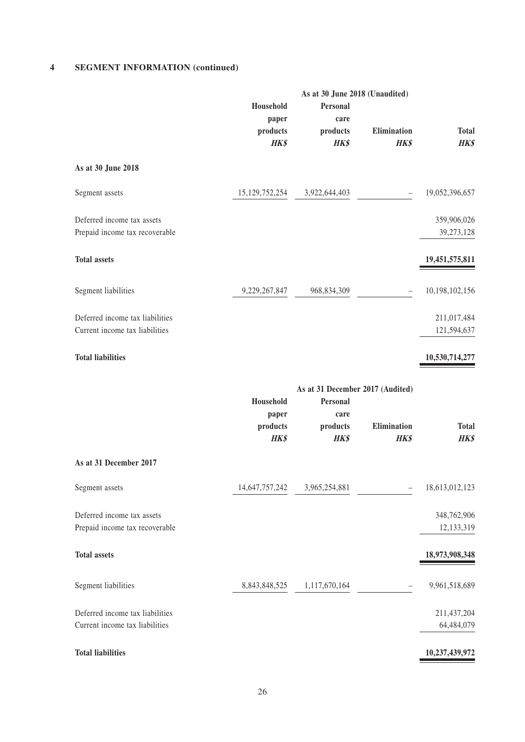#### **4 SEGMENT INFORMATION (continued)**

|                                                                   |                                               | As at 30 June 2018 (Unaudited)                                           |                            |                             |
|-------------------------------------------------------------------|-----------------------------------------------|--------------------------------------------------------------------------|----------------------------|-----------------------------|
|                                                                   | Household<br>paper<br>products                | Personal<br>care<br>products                                             | Elimination                | <b>Total</b>                |
|                                                                   | <b>HK\$</b>                                   | HK\$                                                                     | <b>HK\$</b>                | <b>HK\$</b>                 |
| As at 30 June 2018                                                |                                               |                                                                          |                            |                             |
| Segment assets                                                    | 15, 129, 752, 254                             | 3,922,644,403                                                            | $\qquad \qquad -$          | 19,052,396,657              |
| Deferred income tax assets<br>Prepaid income tax recoverable      |                                               |                                                                          |                            | 359,906,026<br>39,273,128   |
| <b>Total assets</b>                                               |                                               |                                                                          |                            | 19,451,575,811              |
| Segment liabilities                                               | 9,229,267,847                                 | 968,834,309                                                              |                            | 10,198,102,156              |
| Deferred income tax liabilities<br>Current income tax liabilities |                                               |                                                                          |                            | 211,017,484<br>121,594,637  |
| <b>Total liabilities</b>                                          |                                               |                                                                          |                            | 10,530,714,277              |
|                                                                   | Household<br>paper<br>products<br><b>HK\$</b> | As at 31 December 2017 (Audited)<br>Personal<br>care<br>products<br>HK\$ | Elimination<br><b>HK\$</b> | <b>Total</b><br><b>HK\$</b> |
| As at 31 December 2017                                            |                                               |                                                                          |                            |                             |
| Segment assets                                                    | 14,647,757,242                                | 3,965,254,881                                                            |                            | 18,613,012,123              |
| Deferred income tax assets<br>Prepaid income tax recoverable      |                                               |                                                                          |                            | 348,762,906<br>12,133,319   |
| <b>Total assets</b>                                               |                                               |                                                                          |                            | 18,973,908,348              |
| Segment liabilities                                               | 8,843,848,525                                 | 1,117,670,164                                                            |                            | 9,961,518,689               |
| Deferred income tax liabilities<br>Current income tax liabilities |                                               |                                                                          |                            | 211,437,204<br>64,484,079   |
| <b>Total liabilities</b>                                          |                                               |                                                                          |                            | 10,237,439,972              |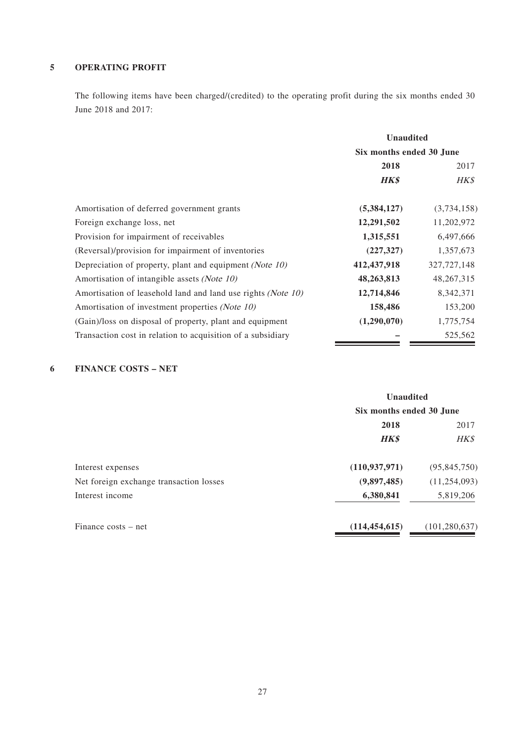### **5 OPERATING PROFIT**

The following items have been charged/(credited) to the operating profit during the six months ended 30 June 2018 and 2017:

|                                                              | <b>Unaudited</b>         |               |
|--------------------------------------------------------------|--------------------------|---------------|
|                                                              | Six months ended 30 June |               |
|                                                              | 2018                     | 2017          |
|                                                              | <b>HK\$</b>              | HK\$          |
| Amortisation of deferred government grants                   | (5,384,127)              | (3,734,158)   |
| Foreign exchange loss, net                                   | 12,291,502               | 11,202,972    |
| Provision for impairment of receivables                      | 1,315,551                | 6,497,666     |
| (Reversal)/provision for impairment of inventories           | (227, 327)               | 1,357,673     |
| Depreciation of property, plant and equipment (Note 10)      | 412,437,918              | 327, 727, 148 |
| Amortisation of intangible assets (Note 10)                  | 48,263,813               | 48,267,315    |
| Amortisation of leasehold land and land use rights (Note 10) | 12,714,846               | 8,342,371     |
| Amortisation of investment properties (Note 10)              | 158,486                  | 153,200       |
| (Gain)/loss on disposal of property, plant and equipment     | (1,290,070)              | 1,775,754     |
| Transaction cost in relation to acquisition of a subsidiary  |                          | 525,562       |

### **6 FINANCE COSTS – NET**

|                                         | <b>Unaudited</b><br>Six months ended 30 June |                 |  |
|-----------------------------------------|----------------------------------------------|-----------------|--|
|                                         |                                              |                 |  |
|                                         | 2018                                         |                 |  |
|                                         | <b>HK\$</b>                                  | HK\$            |  |
| Interest expenses                       | (110, 937, 971)                              | (95, 845, 750)  |  |
| Net foreign exchange transaction losses | (9,897,485)                                  | (11, 254, 093)  |  |
| Interest income                         | 6,380,841                                    | 5,819,206       |  |
| Finance costs – net                     | (114, 454, 615)                              | (101, 280, 637) |  |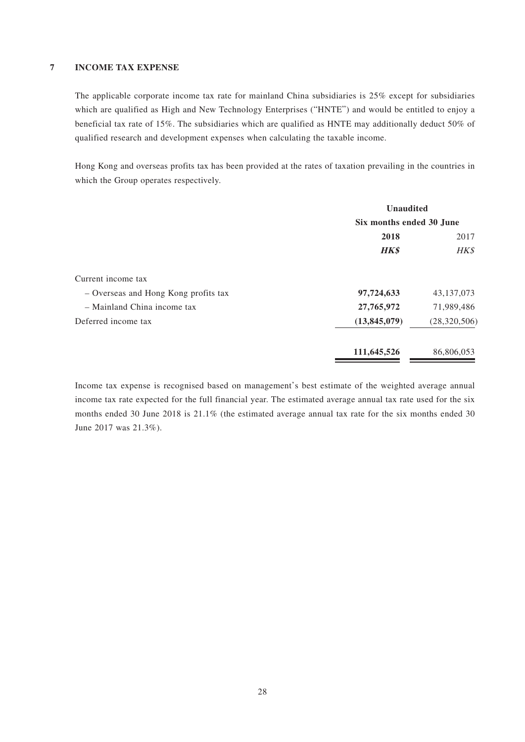#### **7 INCOME TAX EXPENSE**

The applicable corporate income tax rate for mainland China subsidiaries is 25% except for subsidiaries which are qualified as High and New Technology Enterprises ("HNTE") and would be entitled to enjoy a beneficial tax rate of 15%. The subsidiaries which are qualified as HNTE may additionally deduct 50% of qualified research and development expenses when calculating the taxable income.

Hong Kong and overseas profits tax has been provided at the rates of taxation prevailing in the countries in which the Group operates respectively.

|                                      | <b>Unaudited</b>         |                |
|--------------------------------------|--------------------------|----------------|
|                                      | Six months ended 30 June |                |
|                                      | 2018                     |                |
|                                      | <b>HK\$</b>              | HK\$           |
| Current income tax                   |                          |                |
| - Overseas and Hong Kong profits tax | 97,724,633               | 43, 137, 073   |
| - Mainland China income tax          | 27,765,972               | 71,989,486     |
| Deferred income tax                  | (13, 845, 079)           | (28, 320, 506) |
|                                      | 111,645,526              | 86,806,053     |

Income tax expense is recognised based on management's best estimate of the weighted average annual income tax rate expected for the full financial year. The estimated average annual tax rate used for the six months ended 30 June 2018 is 21.1% (the estimated average annual tax rate for the six months ended 30 June 2017 was 21.3%).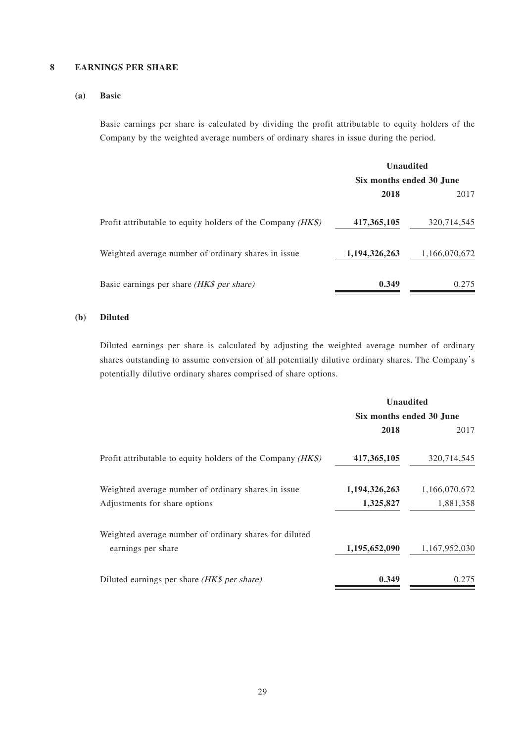#### **8 EARNINGS PER SHARE**

#### **(a) Basic**

Basic earnings per share is calculated by dividing the profit attributable to equity holders of the Company by the weighted average numbers of ordinary shares in issue during the period.

|                                                             | <b>Unaudited</b><br>Six months ended 30 June |               |
|-------------------------------------------------------------|----------------------------------------------|---------------|
|                                                             |                                              |               |
|                                                             | 2018                                         | 2017          |
| Profit attributable to equity holders of the Company (HK\$) | 417, 365, 105                                | 320,714,545   |
| Weighted average number of ordinary shares in issue.        | 1,194,326,263                                | 1,166,070,672 |
| Basic earnings per share (HK\$ per share)                   | 0.349                                        | 0.275         |

#### **(b) Diluted**

Diluted earnings per share is calculated by adjusting the weighted average number of ordinary shares outstanding to assume conversion of all potentially dilutive ordinary shares. The Company's potentially dilutive ordinary shares comprised of share options.

|                                                               | <b>Unaudited</b> |                          |  |  |
|---------------------------------------------------------------|------------------|--------------------------|--|--|
|                                                               |                  | Six months ended 30 June |  |  |
|                                                               | 2018             | 2017                     |  |  |
| Profit attributable to equity holders of the Company $(HK\$ ) | 417,365,105      | 320,714,545              |  |  |
| Weighted average number of ordinary shares in issue           | 1,194,326,263    | 1,166,070,672            |  |  |
| Adjustments for share options                                 | 1,325,827        | 1,881,358                |  |  |
| Weighted average number of ordinary shares for diluted        |                  |                          |  |  |
| earnings per share                                            | 1,195,652,090    | 1,167,952,030            |  |  |
| Diluted earnings per share (HK\$ per share)                   | 0.349            | 0.275                    |  |  |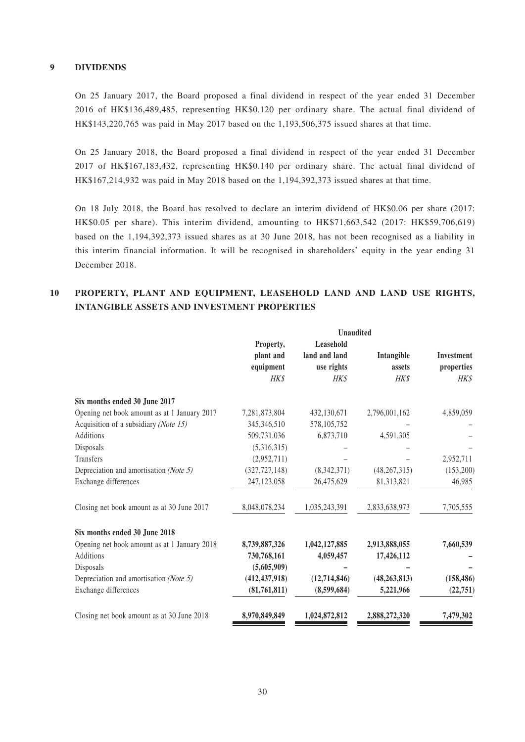#### **9 DIVIDENDS**

On 25 January 2017, the Board proposed a final dividend in respect of the year ended 31 December 2016 of HK\$136,489,485, representing HK\$0.120 per ordinary share. The actual final dividend of HK\$143,220,765 was paid in May 2017 based on the 1,193,506,375 issued shares at that time.

On 25 January 2018, the Board proposed a final dividend in respect of the year ended 31 December 2017 of HK\$167,183,432, representing HK\$0.140 per ordinary share. The actual final dividend of HK\$167,214,932 was paid in May 2018 based on the 1,194,392,373 issued shares at that time.

On 18 July 2018, the Board has resolved to declare an interim dividend of HK\$0.06 per share (2017: HK\$0.05 per share). This interim dividend, amounting to HK\$71,663,542 (2017: HK\$59,706,619) based on the 1,194,392,373 issued shares as at 30 June 2018, has not been recognised as a liability in this interim financial information. It will be recognised in shareholders' equity in the year ending 31 December 2018.

### **10 PROPERTY, PLANT AND EQUIPMENT, LEASEHOLD LAND AND LAND USE RIGHTS, INTANGIBLE ASSETS AND INVESTMENT PROPERTIES**

|                                              | <b>Unaudited</b> |                |                |                   |
|----------------------------------------------|------------------|----------------|----------------|-------------------|
|                                              | Property,        | Leasehold      |                |                   |
|                                              | plant and        | land and land  | Intangible     | <b>Investment</b> |
|                                              | equipment        | use rights     | assets         | properties        |
|                                              | <b>HKS</b>       | <b>HKS</b>     | <b>HK\$</b>    | <b>HK\$</b>       |
| Six months ended 30 June 2017                |                  |                |                |                   |
| Opening net book amount as at 1 January 2017 | 7,281,873,804    | 432,130,671    | 2,796,001,162  | 4,859,059         |
| Acquisition of a subsidiary (Note 15)        | 345,346,510      | 578,105,752    |                |                   |
| Additions                                    | 509,731,036      | 6,873,710      | 4,591,305      |                   |
| Disposals                                    | (5,316,315)      |                |                |                   |
| Transfers                                    | (2,952,711)      |                |                | 2,952,711         |
| Depreciation and amortisation (Note 5)       | (327, 727, 148)  | (8,342,371)    | (48, 267, 315) | (153,200)         |
| Exchange differences                         | 247,123,058      | 26,475,629     | 81,313,821     | 46,985            |
| Closing net book amount as at 30 June 2017   | 8,048,078,234    | 1,035,243,391  | 2,833,638,973  | 7,705,555         |
| Six months ended 30 June 2018                |                  |                |                |                   |
| Opening net book amount as at 1 January 2018 | 8,739,887,326    | 1,042,127,885  | 2,913,888,055  | 7,660,539         |
| Additions                                    | 730,768,161      | 4,059,457      | 17,426,112     |                   |
| Disposals                                    | (5,605,909)      |                |                |                   |
| Depreciation and amortisation (Note 5)       | (412, 437, 918)  | (12, 714, 846) | (48, 263, 813) | (158, 486)        |
| Exchange differences                         | (81,761,811)     | (8,599,684)    | 5,221,966      | (22, 751)         |
| Closing net book amount as at 30 June 2018   | 8,970,849,849    | 1,024,872,812  | 2,888,272,320  | 7,479,302         |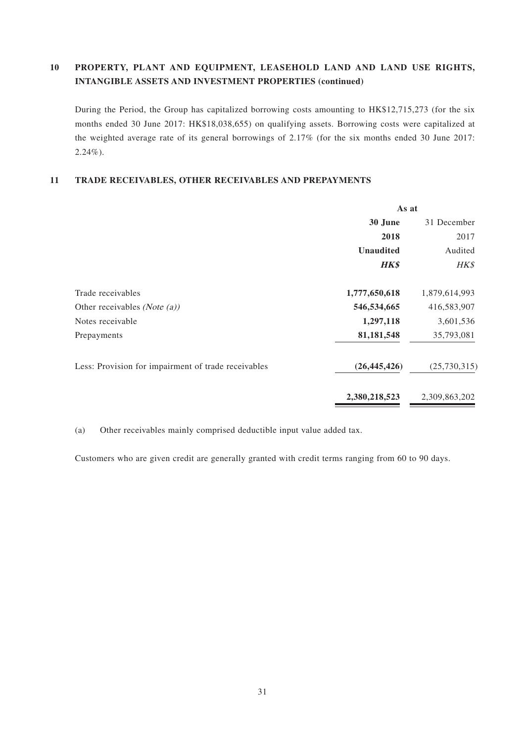### **10 PROPERTY, PLANT AND EQUIPMENT, LEASEHOLD LAND AND LAND USE RIGHTS, INTANGIBLE ASSETS AND INVESTMENT PROPERTIES (continued)**

During the Period, the Group has capitalized borrowing costs amounting to HK\$12,715,273 (for the six months ended 30 June 2017: HK\$18,038,655) on qualifying assets. Borrowing costs were capitalized at the weighted average rate of its general borrowings of 2.17% (for the six months ended 30 June 2017: 2.24%).

#### **11 TRADE RECEIVABLES, OTHER RECEIVABLES AND PREPAYMENTS**

|                                                     | As at            |               |  |
|-----------------------------------------------------|------------------|---------------|--|
|                                                     | 30 June          | 31 December   |  |
|                                                     | 2018             | 2017          |  |
|                                                     | <b>Unaudited</b> | Audited       |  |
|                                                     | <b>HK\$</b>      | HK\$          |  |
| Trade receivables                                   | 1,777,650,618    | 1,879,614,993 |  |
| Other receivables ( <i>Note</i> $(a)$ )             | 546,534,665      | 416,583,907   |  |
| Notes receivable                                    | 1,297,118        | 3,601,536     |  |
| Prepayments                                         | 81,181,548       | 35,793,081    |  |
| Less: Provision for impairment of trade receivables | (26, 445, 426)   | (25,730,315)  |  |
|                                                     | 2,380,218,523    | 2,309,863,202 |  |

(a) Other receivables mainly comprised deductible input value added tax.

Customers who are given credit are generally granted with credit terms ranging from 60 to 90 days.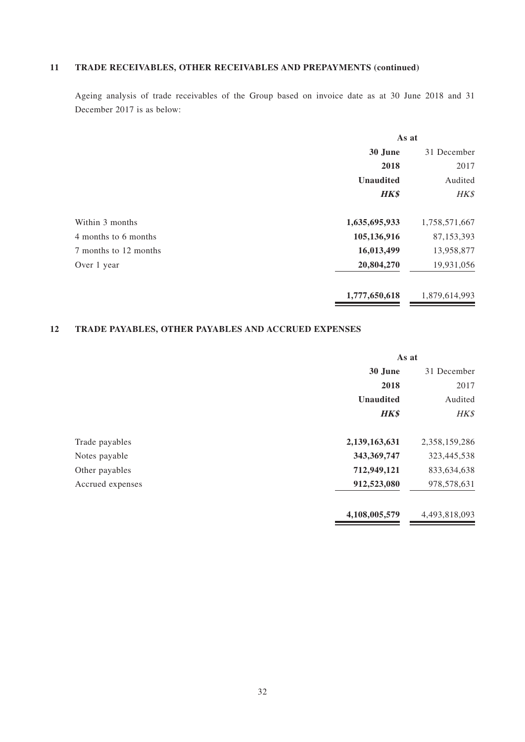## **11 TRADE RECEIVABLES, OTHER RECEIVABLES AND PREPAYMENTS (continued)**

Ageing analysis of trade receivables of the Group based on invoice date as at 30 June 2018 and 31 December 2017 is as below:

|                       | As at                       |               |
|-----------------------|-----------------------------|---------------|
|                       | 30 June                     | 31 December   |
|                       | 2018                        | 2017          |
|                       | <b>Unaudited</b><br>Audited |               |
|                       | <b>HK\$</b>                 | HK\$          |
| Within 3 months       | 1,635,695,933               | 1,758,571,667 |
| 4 months to 6 months  | 105,136,916                 | 87,153,393    |
| 7 months to 12 months | 16,013,499                  | 13,958,877    |
| Over 1 year           | 20,804,270                  | 19,931,056    |
|                       | 1,777,650,618               | 1,879,614,993 |

## **12 TRADE PAYABLES, OTHER PAYABLES AND ACCRUED EXPENSES**

|                  | As at                  |               |  |
|------------------|------------------------|---------------|--|
|                  | 30 June<br>31 December |               |  |
|                  | 2018                   | 2017          |  |
|                  | <b>Unaudited</b>       |               |  |
|                  | <b>HK\$</b>            | HK\$          |  |
| Trade payables   | 2,139,163,631          | 2,358,159,286 |  |
| Notes payable    | 343,369,747            | 323,445,538   |  |
| Other payables   | 712,949,121            | 833,634,638   |  |
| Accrued expenses | 912,523,080            | 978,578,631   |  |
|                  | 4,108,005,579          | 4,493,818,093 |  |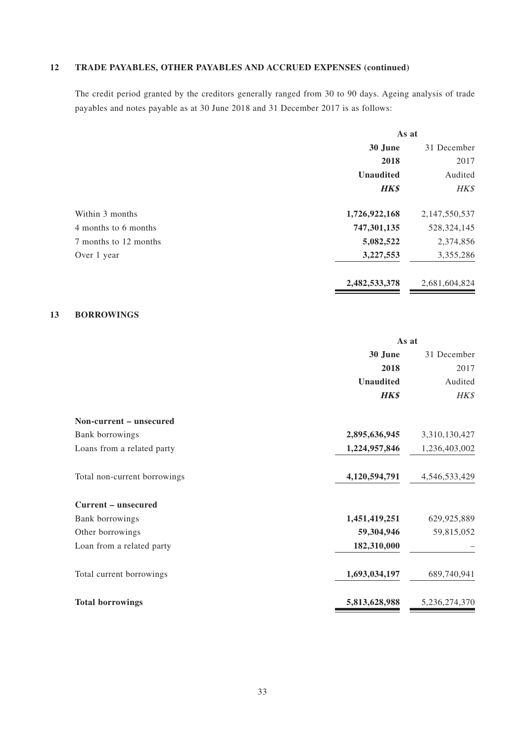## **12 TRADE PAYABLES, OTHER PAYABLES AND ACCRUED EXPENSES (continued)**

The credit period granted by the creditors generally ranged from 30 to 90 days. Ageing analysis of trade payables and notes payable as at 30 June 2018 and 31 December 2017 is as follows:

|                       | As at            |               |  |
|-----------------------|------------------|---------------|--|
|                       | 30 June          | 31 December   |  |
|                       | 2018             | 2017          |  |
|                       | <b>Unaudited</b> |               |  |
|                       | <b>HK\$</b>      | HK\$          |  |
| Within 3 months       | 1,726,922,168    | 2,147,550,537 |  |
| 4 months to 6 months  | 747,301,135      | 528, 324, 145 |  |
| 7 months to 12 months | 5,082,522        | 2,374,856     |  |
| Over 1 year           | 3,227,553        | 3,355,286     |  |
|                       | 2,482,533,378    | 2,681,604,824 |  |

#### **13 BORROWINGS**

|                              | As at            |               |
|------------------------------|------------------|---------------|
|                              | 30 June          | 31 December   |
|                              | 2018             | 2017          |
|                              | <b>Unaudited</b> | Audited       |
|                              | <b>HK\$</b>      | HK\$          |
| Non-current – unsecured      |                  |               |
| Bank borrowings              | 2,895,636,945    | 3,310,130,427 |
| Loans from a related party   | 1,224,957,846    | 1,236,403,002 |
| Total non-current borrowings | 4,120,594,791    | 4,546,533,429 |
| Current – unsecured          |                  |               |
| Bank borrowings              | 1,451,419,251    | 629,925,889   |
| Other borrowings             | 59,304,946       | 59,815,052    |
| Loan from a related party    | 182,310,000      |               |
| Total current borrowings     | 1,693,034,197    | 689,740,941   |
| <b>Total borrowings</b>      | 5,813,628,988    | 5,236,274,370 |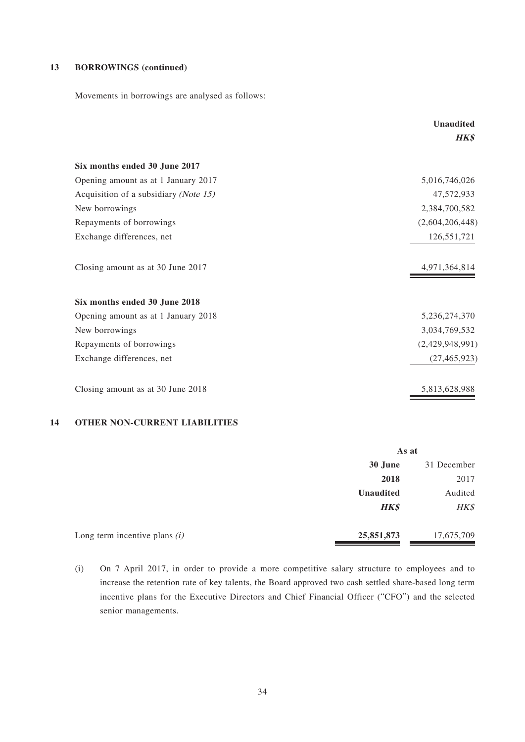#### **13 BORROWINGS (continued)**

Movements in borrowings are analysed as follows:

|                                                | <b>Unaudited</b> |  |
|------------------------------------------------|------------------|--|
|                                                | <b>HK\$</b>      |  |
| Six months ended 30 June 2017                  |                  |  |
| Opening amount as at 1 January 2017            | 5,016,746,026    |  |
| Acquisition of a subsidiary ( <i>Note 15</i> ) | 47,572,933       |  |
| New borrowings                                 | 2,384,700,582    |  |
| Repayments of borrowings                       | (2,604,206,448)  |  |
| Exchange differences, net                      | 126,551,721      |  |
| Closing amount as at 30 June 2017              | 4,971,364,814    |  |
| Six months ended 30 June 2018                  |                  |  |
| Opening amount as at 1 January 2018            | 5,236,274,370    |  |
| New borrowings                                 | 3,034,769,532    |  |
| Repayments of borrowings                       | (2,429,948,991)  |  |
| Exchange differences, net                      | (27, 465, 923)   |  |
| Closing amount as at 30 June 2018              | 5,813,628,988    |  |

#### **14 OTHER NON-CURRENT LIABILITIES**

|                                 | As at            |             |
|---------------------------------|------------------|-------------|
|                                 | 30 June          | 31 December |
|                                 | 2018             | 2017        |
|                                 | <b>Unaudited</b> | Audited     |
|                                 | <b>HK\$</b>      | HK\$        |
|                                 |                  |             |
| Long term incentive plans $(i)$ | 25,851,873       | 17,675,709  |

<sup>(</sup>i) On 7 April 2017, in order to provide a more competitive salary structure to employees and to increase the retention rate of key talents, the Board approved two cash settled share-based long term incentive plans for the Executive Directors and Chief Financial Officer ("CFO") and the selected senior managements.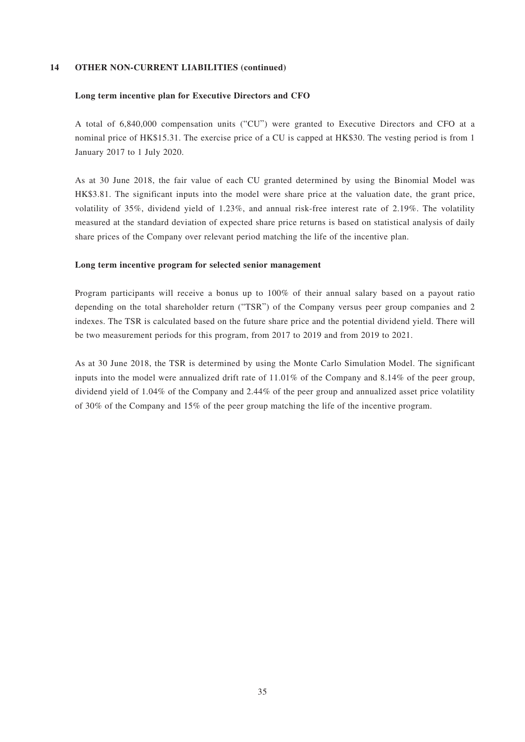#### **14 OTHER NON-CURRENT LIABILITIES (continued)**

#### **Long term incentive plan for Executive Directors and CFO**

A total of 6,840,000 compensation units ("CU") were granted to Executive Directors and CFO at a nominal price of HK\$15.31. The exercise price of a CU is capped at HK\$30. The vesting period is from 1 January 2017 to 1 July 2020.

As at 30 June 2018, the fair value of each CU granted determined by using the Binomial Model was HK\$3.81. The significant inputs into the model were share price at the valuation date, the grant price, volatility of 35%, dividend yield of 1.23%, and annual risk-free interest rate of 2.19%. The volatility measured at the standard deviation of expected share price returns is based on statistical analysis of daily share prices of the Company over relevant period matching the life of the incentive plan.

#### **Long term incentive program for selected senior management**

Program participants will receive a bonus up to 100% of their annual salary based on a payout ratio depending on the total shareholder return ("TSR") of the Company versus peer group companies and 2 indexes. The TSR is calculated based on the future share price and the potential dividend yield. There will be two measurement periods for this program, from 2017 to 2019 and from 2019 to 2021.

As at 30 June 2018, the TSR is determined by using the Monte Carlo Simulation Model. The significant inputs into the model were annualized drift rate of 11.01% of the Company and 8.14% of the peer group, dividend yield of 1.04% of the Company and 2.44% of the peer group and annualized asset price volatility of 30% of the Company and 15% of the peer group matching the life of the incentive program.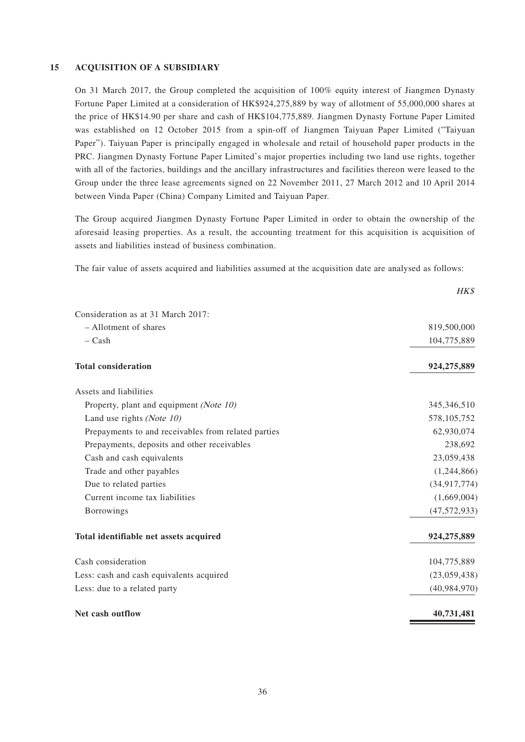#### **15 ACQUISITION OF A SUBSIDIARY**

On 31 March 2017, the Group completed the acquisition of 100% equity interest of Jiangmen Dynasty Fortune Paper Limited at a consideration of HK\$924,275,889 by way of allotment of 55,000,000 shares at the price of HK\$14.90 per share and cash of HK\$104,775,889. Jiangmen Dynasty Fortune Paper Limited was established on 12 October 2015 from a spin-off of Jiangmen Taiyuan Paper Limited ("Taiyuan Paper"). Taiyuan Paper is principally engaged in wholesale and retail of household paper products in the PRC. Jiangmen Dynasty Fortune Paper Limited's major properties including two land use rights, together with all of the factories, buildings and the ancillary infrastructures and facilities thereon were leased to the Group under the three lease agreements signed on 22 November 2011, 27 March 2012 and 10 April 2014 between Vinda Paper (China) Company Limited and Taiyuan Paper.

The Group acquired Jiangmen Dynasty Fortune Paper Limited in order to obtain the ownership of the aforesaid leasing properties. As a result, the accounting treatment for this acquisition is acquisition of assets and liabilities instead of business combination.

The fair value of assets acquired and liabilities assumed at the acquisition date are analysed as follows:

|                                                     | HK\$           |
|-----------------------------------------------------|----------------|
| Consideration as at 31 March 2017:                  |                |
| - Allotment of shares                               | 819,500,000    |
| $-$ Cash                                            | 104,775,889    |
| <b>Total consideration</b>                          | 924,275,889    |
| Assets and liabilities                              |                |
| Property, plant and equipment (Note 10)             | 345, 346, 510  |
| Land use rights (Note 10)                           | 578, 105, 752  |
| Prepayments to and receivables from related parties | 62,930,074     |
| Prepayments, deposits and other receivables         | 238,692        |
| Cash and cash equivalents                           | 23,059,438     |
| Trade and other payables                            | (1,244,866)    |
| Due to related parties                              | (34, 917, 774) |
| Current income tax liabilities                      | (1,669,004)    |
| <b>Borrowings</b>                                   | (47, 572, 933) |
| Total identifiable net assets acquired              | 924,275,889    |
| Cash consideration                                  | 104,775,889    |
| Less: cash and cash equivalents acquired            | (23,059,438)   |
| Less: due to a related party                        | (40, 984, 970) |
| Net cash outflow                                    | 40,731,481     |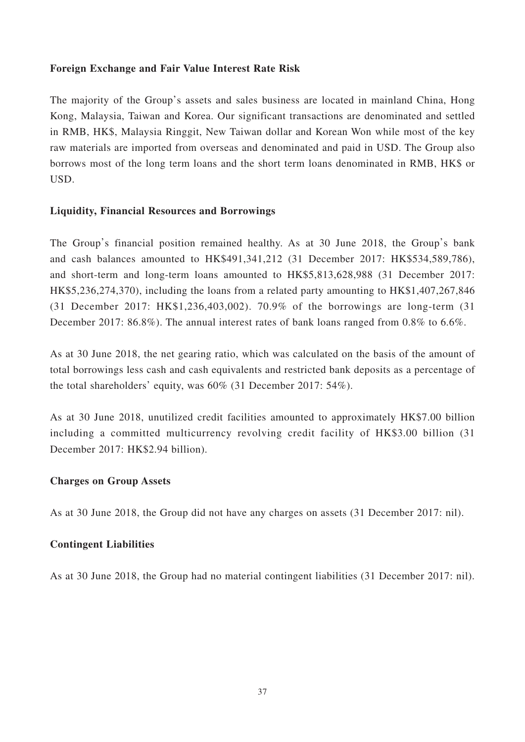### **Foreign Exchange and Fair Value Interest Rate Risk**

The majority of the Group's assets and sales business are located in mainland China, Hong Kong, Malaysia, Taiwan and Korea. Our significant transactions are denominated and settled in RMB, HK\$, Malaysia Ringgit, New Taiwan dollar and Korean Won while most of the key raw materials are imported from overseas and denominated and paid in USD. The Group also borrows most of the long term loans and the short term loans denominated in RMB, HK\$ or USD.

### **Liquidity, Financial Resources and Borrowings**

The Group's financial position remained healthy. As at 30 June 2018, the Group's bank and cash balances amounted to HK\$491,341,212 (31 December 2017: HK\$534,589,786), and short-term and long-term loans amounted to HK\$5,813,628,988 (31 December 2017: HK\$5,236,274,370), including the loans from a related party amounting to HK\$1,407,267,846 (31 December 2017: HK\$1,236,403,002). 70.9% of the borrowings are long-term (31 December 2017: 86.8%). The annual interest rates of bank loans ranged from 0.8% to 6.6%.

As at 30 June 2018, the net gearing ratio, which was calculated on the basis of the amount of total borrowings less cash and cash equivalents and restricted bank deposits as a percentage of the total shareholders' equity, was 60% (31 December 2017: 54%).

As at 30 June 2018, unutilized credit facilities amounted to approximately HK\$7.00 billion including a committed multicurrency revolving credit facility of HK\$3.00 billion (31 December 2017: HK\$2.94 billion).

### **Charges on Group Assets**

As at 30 June 2018, the Group did not have any charges on assets (31 December 2017: nil).

### **Contingent Liabilities**

As at 30 June 2018, the Group had no material contingent liabilities (31 December 2017: nil).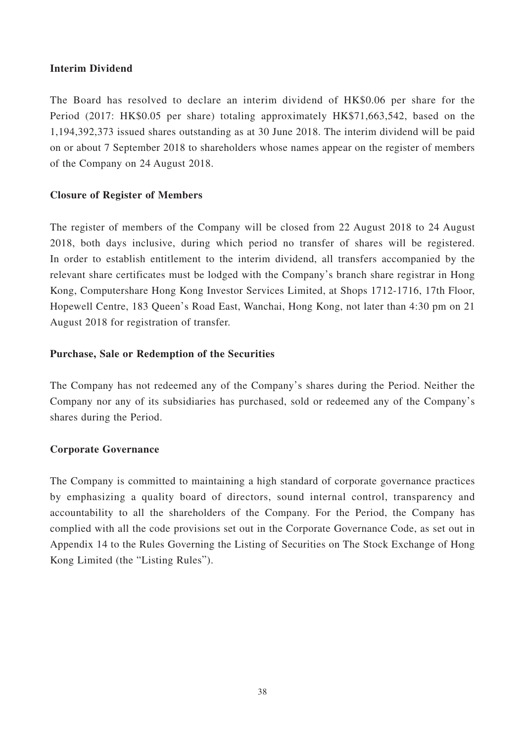### **Interim Dividend**

The Board has resolved to declare an interim dividend of HK\$0.06 per share for the Period (2017: HK\$0.05 per share) totaling approximately HK\$71,663,542, based on the 1,194,392,373 issued shares outstanding as at 30 June 2018. The interim dividend will be paid on or about 7 September 2018 to shareholders whose names appear on the register of members of the Company on 24 August 2018.

### **Closure of Register of Members**

The register of members of the Company will be closed from 22 August 2018 to 24 August 2018, both days inclusive, during which period no transfer of shares will be registered. In order to establish entitlement to the interim dividend, all transfers accompanied by the relevant share certificates must be lodged with the Company's branch share registrar in Hong Kong, Computershare Hong Kong Investor Services Limited, at Shops 1712-1716, 17th Floor, Hopewell Centre, 183 Queen's Road East, Wanchai, Hong Kong, not later than 4:30 pm on 21 August 2018 for registration of transfer.

### **Purchase, Sale or Redemption of the Securities**

The Company has not redeemed any of the Company's shares during the Period. Neither the Company nor any of its subsidiaries has purchased, sold or redeemed any of the Company's shares during the Period.

### **Corporate Governance**

The Company is committed to maintaining a high standard of corporate governance practices by emphasizing a quality board of directors, sound internal control, transparency and accountability to all the shareholders of the Company. For the Period, the Company has complied with all the code provisions set out in the Corporate Governance Code, as set out in Appendix 14 to the Rules Governing the Listing of Securities on The Stock Exchange of Hong Kong Limited (the "Listing Rules").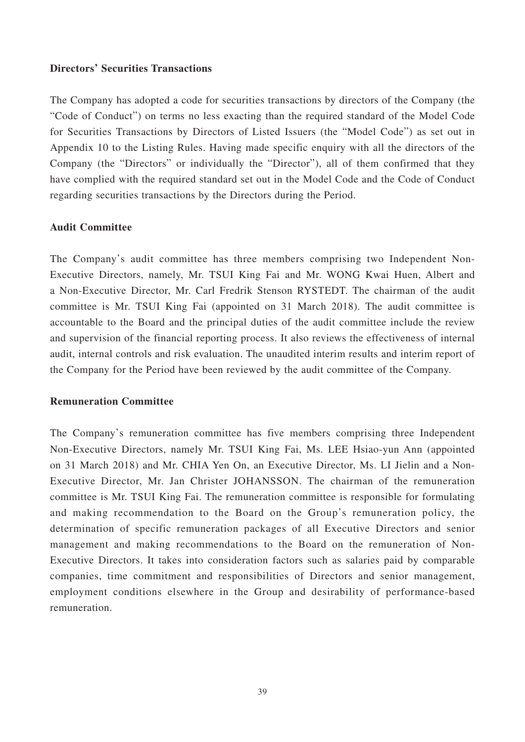### **Directors' Securities Transactions**

The Company has adopted a code for securities transactions by directors of the Company (the "Code of Conduct") on terms no less exacting than the required standard of the Model Code for Securities Transactions by Directors of Listed Issuers (the "Model Code") as set out in Appendix 10 to the Listing Rules. Having made specific enquiry with all the directors of the Company (the "Directors" or individually the "Director"), all of them confirmed that they have complied with the required standard set out in the Model Code and the Code of Conduct regarding securities transactions by the Directors during the Period.

#### **Audit Committee**

The Company's audit committee has three members comprising two Independent Non-Executive Directors, namely, Mr. TSUI King Fai and Mr. WONG Kwai Huen, Albert and a Non-Executive Director, Mr. Carl Fredrik Stenson RYSTEDT. The chairman of the audit committee is Mr. TSUI King Fai (appointed on 31 March 2018). The audit committee is accountable to the Board and the principal duties of the audit committee include the review and supervision of the financial reporting process. It also reviews the effectiveness of internal audit, internal controls and risk evaluation. The unaudited interim results and interim report of the Company for the Period have been reviewed by the audit committee of the Company.

### **Remuneration Committee**

The Company's remuneration committee has five members comprising three Independent Non-Executive Directors, namely Mr. TSUI King Fai, Ms. LEE Hsiao-yun Ann (appointed on 31 March 2018) and Mr. CHIA Yen On, an Executive Director, Ms. LI Jielin and a Non-Executive Director, Mr. Jan Christer JOHANSSON. The chairman of the remuneration committee is Mr. TSUI King Fai. The remuneration committee is responsible for formulating and making recommendation to the Board on the Group's remuneration policy, the determination of specific remuneration packages of all Executive Directors and senior management and making recommendations to the Board on the remuneration of Non-Executive Directors. It takes into consideration factors such as salaries paid by comparable companies, time commitment and responsibilities of Directors and senior management, employment conditions elsewhere in the Group and desirability of performance-based remuneration.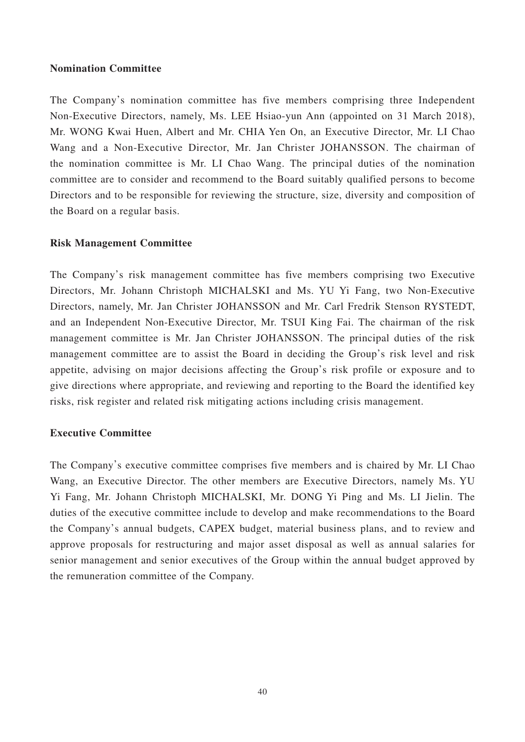### **Nomination Committee**

The Company's nomination committee has five members comprising three Independent Non-Executive Directors, namely, Ms. LEE Hsiao-yun Ann (appointed on 31 March 2018), Mr. WONG Kwai Huen, Albert and Mr. CHIA Yen On, an Executive Director, Mr. LI Chao Wang and a Non-Executive Director, Mr. Jan Christer JOHANSSON. The chairman of the nomination committee is Mr. LI Chao Wang. The principal duties of the nomination committee are to consider and recommend to the Board suitably qualified persons to become Directors and to be responsible for reviewing the structure, size, diversity and composition of the Board on a regular basis.

### **Risk Management Committee**

The Company's risk management committee has five members comprising two Executive Directors, Mr. Johann Christoph MICHALSKI and Ms. YU Yi Fang, two Non-Executive Directors, namely, Mr. Jan Christer JOHANSSON and Mr. Carl Fredrik Stenson RYSTEDT, and an Independent Non-Executive Director, Mr. TSUI King Fai. The chairman of the risk management committee is Mr. Jan Christer JOHANSSON. The principal duties of the risk management committee are to assist the Board in deciding the Group's risk level and risk appetite, advising on major decisions affecting the Group's risk profile or exposure and to give directions where appropriate, and reviewing and reporting to the Board the identified key risks, risk register and related risk mitigating actions including crisis management.

### **Executive Committee**

The Company's executive committee comprises five members and is chaired by Mr. LI Chao Wang, an Executive Director. The other members are Executive Directors, namely Ms. YU Yi Fang, Mr. Johann Christoph MICHALSKI, Mr. DONG Yi Ping and Ms. LI Jielin. The duties of the executive committee include to develop and make recommendations to the Board the Company's annual budgets, CAPEX budget, material business plans, and to review and approve proposals for restructuring and major asset disposal as well as annual salaries for senior management and senior executives of the Group within the annual budget approved by the remuneration committee of the Company.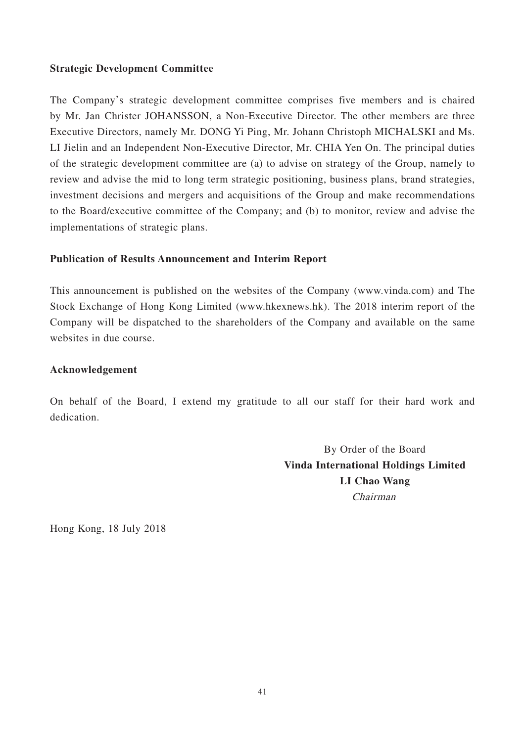### **Strategic Development Committee**

The Company's strategic development committee comprises five members and is chaired by Mr. Jan Christer JOHANSSON, a Non-Executive Director. The other members are three Executive Directors, namely Mr. DONG Yi Ping, Mr. Johann Christoph MICHALSKI and Ms. LI Jielin and an Independent Non-Executive Director, Mr. CHIA Yen On. The principal duties of the strategic development committee are (a) to advise on strategy of the Group, namely to review and advise the mid to long term strategic positioning, business plans, brand strategies, investment decisions and mergers and acquisitions of the Group and make recommendations to the Board/executive committee of the Company; and (b) to monitor, review and advise the implementations of strategic plans.

### **Publication of Results Announcement and Interim Report**

This announcement is published on the websites of the Company (www.vinda.com) and The Stock Exchange of Hong Kong Limited (www.hkexnews.hk). The 2018 interim report of the Company will be dispatched to the shareholders of the Company and available on the same websites in due course.

### **Acknowledgement**

On behalf of the Board, I extend my gratitude to all our staff for their hard work and dedication.

> By Order of the Board **Vinda International Holdings Limited LI Chao Wang** Chairman

Hong Kong, 18 July 2018